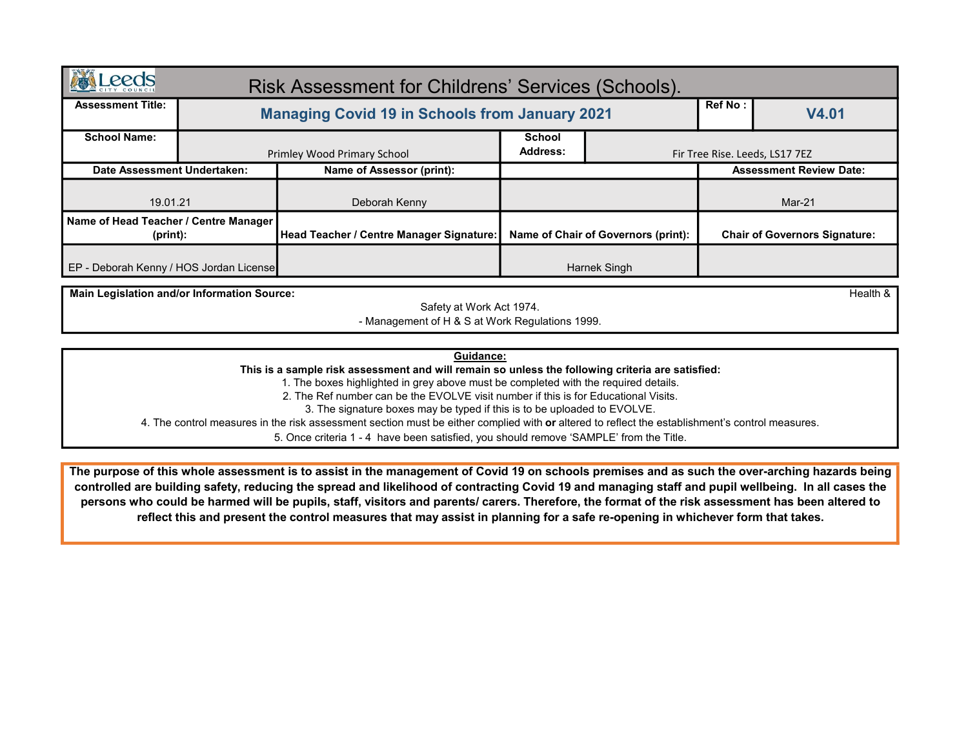| <b>AND</b><br><b>Leeds</b>                           |  | Risk Assessment for Childrens' Services (Schools).    |                                     |              |                                      |       |  |
|------------------------------------------------------|--|-------------------------------------------------------|-------------------------------------|--------------|--------------------------------------|-------|--|
| <b>Assessment Title:</b>                             |  | <b>Managing Covid 19 in Schools from January 2021</b> |                                     |              | <b>Ref No:</b>                       | V4.01 |  |
| <b>School Name:</b>                                  |  | Primley Wood Primary School                           | <b>School</b><br>Address:           |              | Fir Tree Rise. Leeds, LS17 7EZ       |       |  |
| Date Assessment Undertaken:                          |  | Name of Assessor (print):                             |                                     |              | <b>Assessment Review Date:</b>       |       |  |
| 19.01.21                                             |  | Deborah Kenny                                         |                                     |              | Mar-21                               |       |  |
| Name of Head Teacher / Centre Manager<br>$(print)$ : |  | <b>Head Teacher / Centre Manager Signature:</b>       | Name of Chair of Governors (print): |              | <b>Chair of Governors Signature:</b> |       |  |
| EP - Deborah Kenny / HOS Jordan License              |  |                                                       |                                     | Harnek Singh |                                      |       |  |

Main Legislation and/or Information Source: the control of the control of the control of the control of the control of the control of the control of the control of the control of the control of the control of the control o

Safety at Work Act 1974. - Management of H & S at Work Regulations 1999.

Guidance:

This is a sample risk assessment and will remain so unless the following criteria are satisfied:

1. The boxes highlighted in grey above must be completed with the required details.

2. The Ref number can be the EVOLVE visit number if this is for Educational Visits.

3. The signature boxes may be typed if this is to be uploaded to EVOLVE.

4. The control measures in the risk assessment section must be either complied with or altered to reflect the establishment's control measures.

5. Once criteria 1 - 4 have been satisfied, you should remove 'SAMPLE' from the Title.

The purpose of this whole assessment is to assist in the management of Covid 19 on schools premises and as such the over-arching hazards being controlled are building safety, reducing the spread and likelihood of contracting Covid 19 and managing staff and pupil wellbeing. In all cases the persons who could be harmed will be pupils, staff, visitors and parents/ carers. Therefore, the format of the risk assessment has been altered to reflect this and present the control measures that may assist in planning for a safe re-opening in whichever form that takes.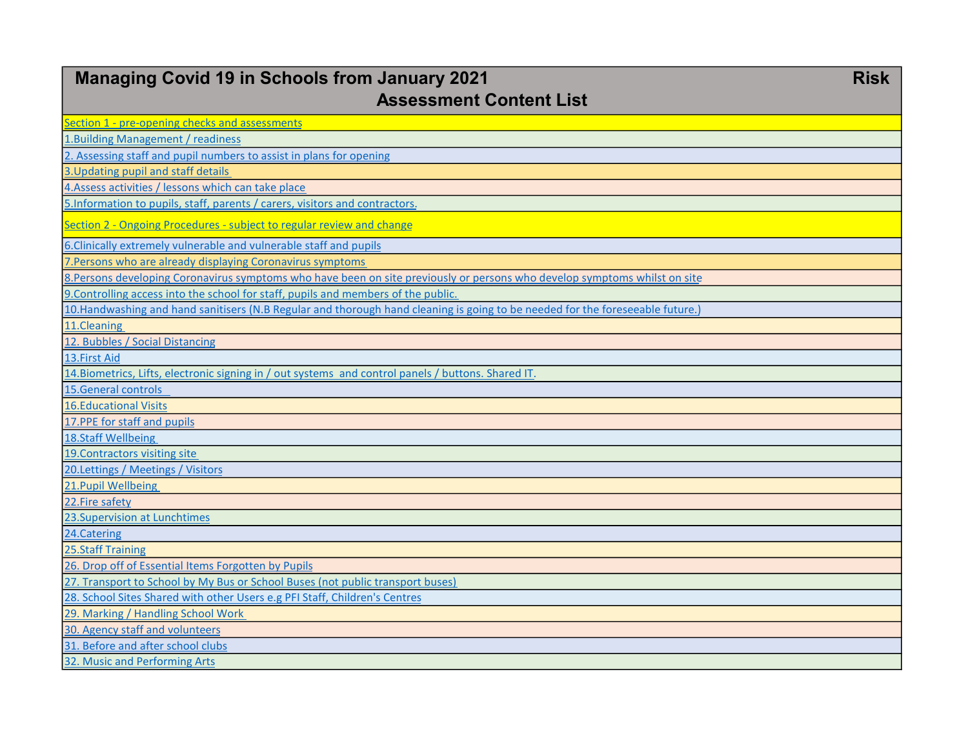| <b>Managing Covid 19 in Schools from January 2021</b><br><b>Assessment Content List</b>                                        | <b>Risk</b> |
|--------------------------------------------------------------------------------------------------------------------------------|-------------|
| Section 1 - pre-opening checks and assessments                                                                                 |             |
| 1. Building Management / readiness                                                                                             |             |
| 2. Assessing staff and pupil numbers to assist in plans for opening                                                            |             |
| 3. Updating pupil and staff details                                                                                            |             |
| 4. Assess activities / lessons which can take place                                                                            |             |
| 5. Information to pupils, staff, parents / carers, visitors and contractors.                                                   |             |
| Section 2 - Ongoing Procedures - subject to regular review and change                                                          |             |
| 6. Clinically extremely vulnerable and vulnerable staff and pupils                                                             |             |
| 7. Persons who are already displaying Coronavirus symptoms                                                                     |             |
| 8. Persons developing Coronavirus symptoms who have been on site previously or persons who develop symptoms whilst on site     |             |
| 9. Controlling access into the school for staff, pupils and members of the public.                                             |             |
| 10. Handwashing and hand sanitisers (N.B Regular and thorough hand cleaning is going to be needed for the foreseeable future.) |             |
| 11.Cleaning                                                                                                                    |             |
| 12. Bubbles / Social Distancing                                                                                                |             |
| 13. First Aid                                                                                                                  |             |
| 14. Biometrics, Lifts, electronic signing in / out systems and control panels / buttons. Shared IT.                            |             |
| 15. General controls                                                                                                           |             |
| <b>16.Educational Visits</b>                                                                                                   |             |
| 17. PPE for staff and pupils                                                                                                   |             |
| 18.Staff Wellbeing                                                                                                             |             |
| 19. Contractors visiting site                                                                                                  |             |
| 20.Lettings / Meetings / Visitors                                                                                              |             |
| 21. Pupil Wellbeing                                                                                                            |             |
| 22. Fire safety                                                                                                                |             |
| 23. Supervision at Lunchtimes                                                                                                  |             |
| 24. Catering                                                                                                                   |             |
| <b>25.Staff Training</b>                                                                                                       |             |
| 26. Drop off of Essential Items Forgotten by Pupils                                                                            |             |
| 27. Transport to School by My Bus or School Buses (not public transport buses)                                                 |             |
| 28. School Sites Shared with other Users e.g PFI Staff, Children's Centres                                                     |             |
| 29. Marking / Handling School Work                                                                                             |             |
| 30. Agency staff and volunteers                                                                                                |             |
| 31. Before and after school clubs                                                                                              |             |
| 32. Music and Performing Arts                                                                                                  |             |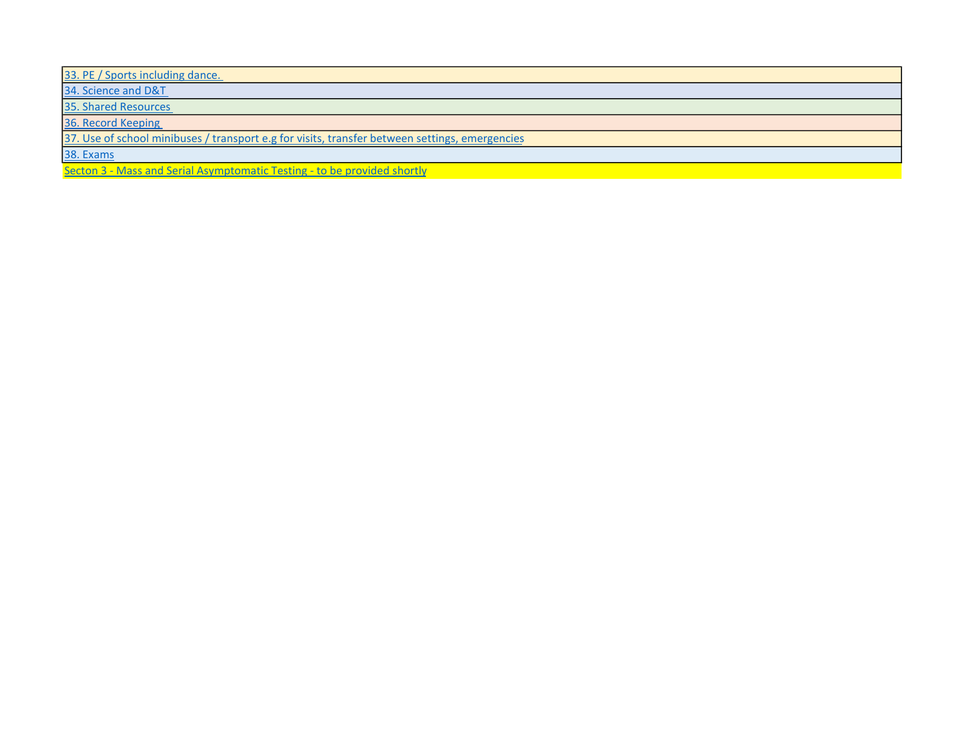33. PE / Sports including dance.

34. Science and D&T

35. Shared Resources

36. Record Keeping

37. Use of school minibuses / transport e.g for visits, transfer between settings, emergencies

38. Exams

Secton 3 - Mass and Serial Asymptomatic Testing - to be provided shortly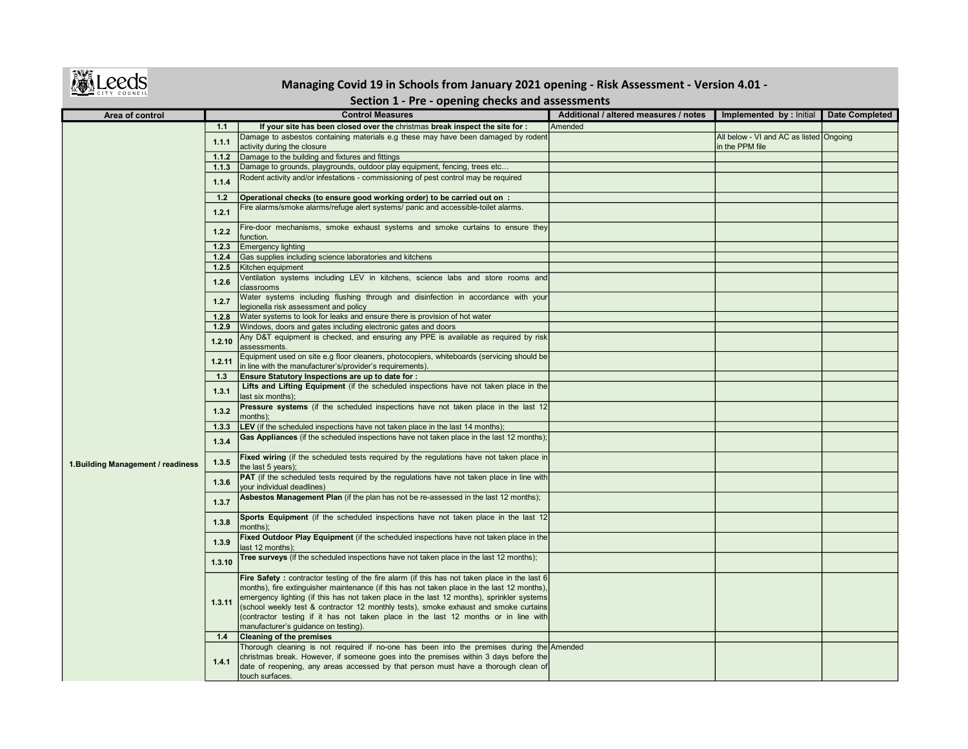

## Managing Covid 19 in Schools from January 2021 opening - Risk Assessment - Version 4.01 -

## Section 1 - Pre - opening checks and assessments

| Area of control                    |        | <b>Control Measures</b>                                                                                                                                                                             | Additional / altered measures / notes | Implemented by : Initial                                   | <b>Date Completed</b> |
|------------------------------------|--------|-----------------------------------------------------------------------------------------------------------------------------------------------------------------------------------------------------|---------------------------------------|------------------------------------------------------------|-----------------------|
|                                    | 1.1    | If your site has been closed over the christmas break inspect the site for :                                                                                                                        | Amended                               |                                                            |                       |
|                                    | 1.1.1  | Damage to asbestos containing materials e.g these may have been damaged by rodent<br>activity during the closure                                                                                    |                                       | All below - VI and AC as listed Ongoing<br>in the PPM file |                       |
|                                    | 1.1.2  | Damage to the building and fixtures and fittings                                                                                                                                                    |                                       |                                                            |                       |
|                                    | 1.1.3  | Damage to grounds, playgrounds, outdoor play equipment, fencing, trees etc                                                                                                                          |                                       |                                                            |                       |
|                                    | 1.1.4  | Rodent activity and/or infestations - commissioning of pest control may be required                                                                                                                 |                                       |                                                            |                       |
|                                    | 1.2    | Operational checks (to ensure good working order) to be carried out on :                                                                                                                            |                                       |                                                            |                       |
|                                    | 1.2.1  | Fire alarms/smoke alarms/refuge alert systems/ panic and accessible-toilet alarms.                                                                                                                  |                                       |                                                            |                       |
|                                    | 1.2.2  | Fire-door mechanisms, smoke exhaust systems and smoke curtains to ensure they<br>function.                                                                                                          |                                       |                                                            |                       |
|                                    | 1.2.3  | <b>Emergency lighting</b>                                                                                                                                                                           |                                       |                                                            |                       |
|                                    | 1.2.4  | Gas supplies including science laboratories and kitchens                                                                                                                                            |                                       |                                                            |                       |
|                                    | 1.2.5  | Kitchen equipment                                                                                                                                                                                   |                                       |                                                            |                       |
|                                    | 1.2.6  | Ventilation systems including LEV in kitchens, science labs and store rooms and<br>classrooms                                                                                                       |                                       |                                                            |                       |
|                                    | 1.2.7  | Water systems including flushing through and disinfection in accordance with your<br>legionella risk assessment and policy                                                                          |                                       |                                                            |                       |
|                                    | 1.2.8  | Water systems to look for leaks and ensure there is provision of hot water                                                                                                                          |                                       |                                                            |                       |
|                                    | 1.2.9  | Windows, doors and gates including electronic gates and doors                                                                                                                                       |                                       |                                                            |                       |
|                                    | 1.2.10 | Any D&T equipment is checked, and ensuring any PPE is available as required by risk<br>assessments.                                                                                                 |                                       |                                                            |                       |
|                                    | 1.2.11 | Equipment used on site e.g floor cleaners, photocopiers, whiteboards (servicing should be<br>in line with the manufacturer's/provider's requirements).                                              |                                       |                                                            |                       |
|                                    | 1.3    | Ensure Statutory Inspections are up to date for :                                                                                                                                                   |                                       |                                                            |                       |
|                                    | 1.3.1  | Lifts and Lifting Equipment (if the scheduled inspections have not taken place in the<br>last six months);                                                                                          |                                       |                                                            |                       |
|                                    | 1.3.2  | Pressure systems (if the scheduled inspections have not taken place in the last 12<br>months);                                                                                                      |                                       |                                                            |                       |
|                                    | 1.3.3  | <b>LEV</b> (if the scheduled inspections have not taken place in the last 14 months);                                                                                                               |                                       |                                                            |                       |
|                                    | 1.3.4  | Gas Appliances (if the scheduled inspections have not taken place in the last 12 months);                                                                                                           |                                       |                                                            |                       |
| 1. Building Management / readiness | 1.3.5  | Fixed wiring (if the scheduled tests required by the regulations have not taken place in<br>the last 5 years);                                                                                      |                                       |                                                            |                       |
|                                    | 1.3.6  | <b>PAT</b> (if the scheduled tests required by the regulations have not taken place in line with<br>your individual deadlines)                                                                      |                                       |                                                            |                       |
|                                    | 1.3.7  | Asbestos Management Plan (if the plan has not be re-assessed in the last 12 months);                                                                                                                |                                       |                                                            |                       |
|                                    | 1.3.8  | Sports Equipment (if the scheduled inspections have not taken place in the last 12<br>months);                                                                                                      |                                       |                                                            |                       |
|                                    | 1.3.9  | Fixed Outdoor Play Equipment (if the scheduled inspections have not taken place in the<br>last 12 months);                                                                                          |                                       |                                                            |                       |
|                                    | 1.3.10 | Tree surveys (if the scheduled inspections have not taken place in the last 12 months);                                                                                                             |                                       |                                                            |                       |
|                                    |        | <b>Fire Safety</b> : contractor testing of the fire alarm (if this has not taken place in the last 6<br>months), fire extinguisher maintenance (if this has not taken place in the last 12 months), |                                       |                                                            |                       |
|                                    |        | emergency lighting (if this has not taken place in the last 12 months), sprinkler systems                                                                                                           |                                       |                                                            |                       |
|                                    | 1.3.11 | (school weekly test & contractor 12 monthly tests), smoke exhaust and smoke curtains                                                                                                                |                                       |                                                            |                       |
|                                    |        | (contractor testing if it has not taken place in the last 12 months or in line with                                                                                                                 |                                       |                                                            |                       |
|                                    |        | manufacturer's guidance on testing).                                                                                                                                                                |                                       |                                                            |                       |
|                                    | 1.4    | <b>Cleaning of the premises</b>                                                                                                                                                                     |                                       |                                                            |                       |
|                                    |        | Thorough cleaning is not required if no-one has been into the premises during the Amended                                                                                                           |                                       |                                                            |                       |
|                                    | 1.4.1  | christmas break. However, if someone goes into the premises within 3 days before the<br>date of reopening, any areas accessed by that person must have a thorough clean of                          |                                       |                                                            |                       |
|                                    |        | touch surfaces.                                                                                                                                                                                     |                                       |                                                            |                       |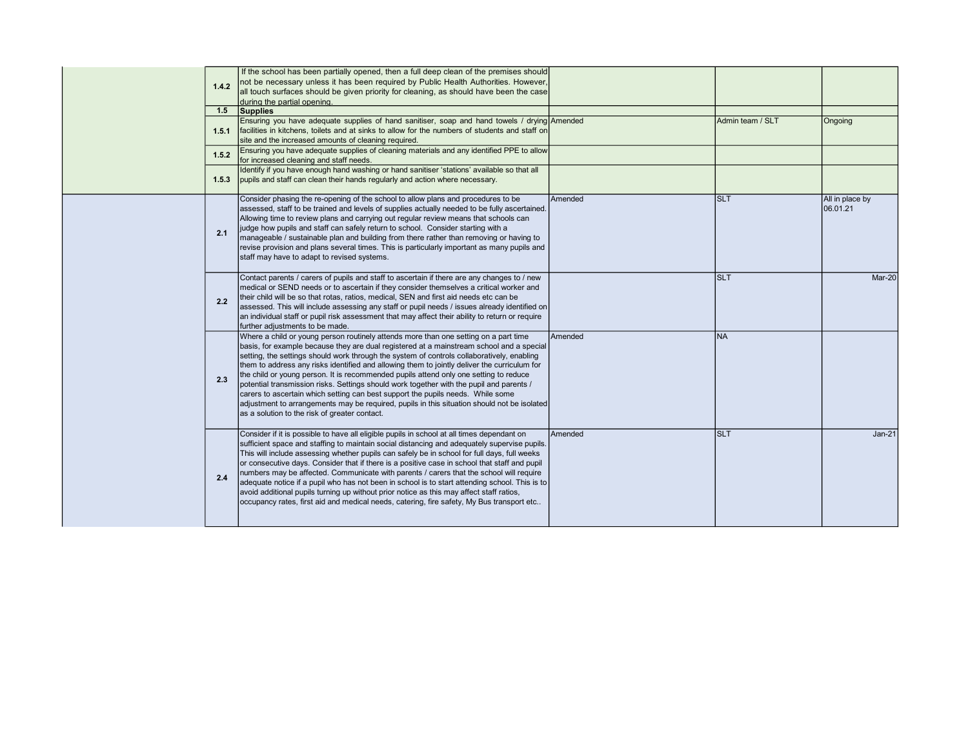|  | 1.4.2<br>1.5<br>1.5.1 | If the school has been partially opened, then a full deep clean of the premises should<br>not be necessary unless it has been required by Public Health Authorities. However,<br>all touch surfaces should be given priority for cleaning, as should have been the case<br>during the partial opening.<br>Supplies<br>Ensuring you have adequate supplies of hand sanitiser, soap and hand towels / drying Amended<br>facilities in kitchens, toilets and at sinks to allow for the numbers of students and staff on                                                                                                                                                                                                                                                                                   |         | Admin team / SLT | Ongoing                     |
|--|-----------------------|--------------------------------------------------------------------------------------------------------------------------------------------------------------------------------------------------------------------------------------------------------------------------------------------------------------------------------------------------------------------------------------------------------------------------------------------------------------------------------------------------------------------------------------------------------------------------------------------------------------------------------------------------------------------------------------------------------------------------------------------------------------------------------------------------------|---------|------------------|-----------------------------|
|  | 1.5.2<br>1.5.3        | site and the increased amounts of cleaning required.<br>Ensuring you have adequate supplies of cleaning materials and any identified PPE to allow<br>for increased cleaning and staff needs.<br>Identify if you have enough hand washing or hand sanitiser 'stations' available so that all<br>pupils and staff can clean their hands regularly and action where necessary.                                                                                                                                                                                                                                                                                                                                                                                                                            |         |                  |                             |
|  | 2.1                   | Consider phasing the re-opening of the school to allow plans and procedures to be<br>assessed, staff to be trained and levels of supplies actually needed to be fully ascertained.<br>Allowing time to review plans and carrying out regular review means that schools can<br>judge how pupils and staff can safely return to school. Consider starting with a<br>manageable / sustainable plan and building from there rather than removing or having to<br>revise provision and plans several times. This is particularly important as many pupils and<br>staff may have to adapt to revised systems.                                                                                                                                                                                                | Amended | Islt.            | All in place by<br>06.01.21 |
|  | 2.2                   | Contact parents / carers of pupils and staff to ascertain if there are any changes to / new<br>medical or SEND needs or to ascertain if they consider themselves a critical worker and<br>their child will be so that rotas, ratios, medical, SEN and first aid needs etc can be<br>assessed. This will include assessing any staff or pupil needs / issues already identified on<br>an individual staff or pupil risk assessment that may affect their ability to return or require<br>further adjustments to be made.                                                                                                                                                                                                                                                                                |         | Islt             | Mar-20                      |
|  | 2.3                   | Where a child or young person routinely attends more than one setting on a part time<br>basis, for example because they are dual registered at a mainstream school and a special<br>setting, the settings should work through the system of controls collaboratively, enabling<br>them to address any risks identified and allowing them to jointly deliver the curriculum for<br>the child or young person. It is recommended pupils attend only one setting to reduce<br>potential transmission risks. Settings should work together with the pupil and parents /<br>carers to ascertain which setting can best support the pupils needs. While some<br>adjustment to arrangements may be required, pupils in this situation should not be isolated<br>as a solution to the risk of greater contact. | Amended | <b>INA</b>       |                             |
|  | 2.4                   | Consider if it is possible to have all eligible pupils in school at all times dependant on<br>sufficient space and staffing to maintain social distancing and adequately supervise pupils.<br>This will include assessing whether pupils can safely be in school for full days, full weeks<br>or consecutive days. Consider that if there is a positive case in school that staff and pupil<br>numbers may be affected. Communicate with parents / carers that the school will require<br>adequate notice if a pupil who has not been in school is to start attending school. This is to<br>avoid additional pupils turning up without prior notice as this may affect staff ratios,<br>occupancy rates, first aid and medical needs, catering, fire safety, My Bus transport etc                      | Amended | <b>SLT</b>       | <b>Jan-21</b>               |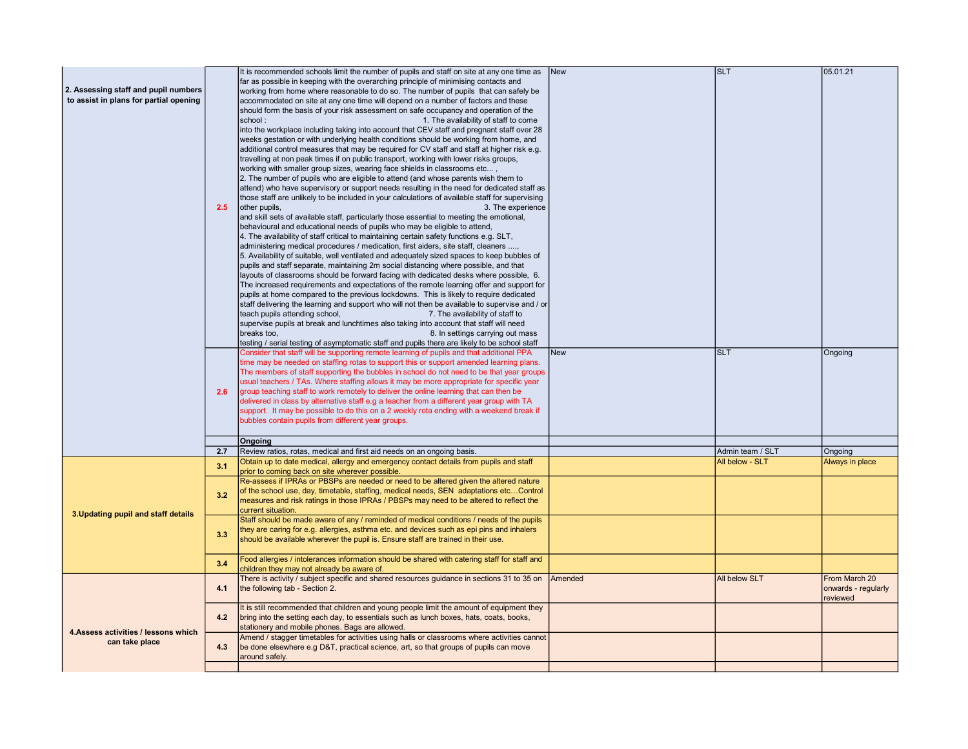|                                        |     | It is recommended schools limit the number of pupils and staff on site at any one time as       | <b>New</b> | <b>SLT</b>       | 05.01.21            |
|----------------------------------------|-----|-------------------------------------------------------------------------------------------------|------------|------------------|---------------------|
|                                        |     | far as possible in keeping with the overarching principle of minimising contacts and            |            |                  |                     |
| 2. Assessing staff and pupil numbers   |     | working from home where reasonable to do so. The number of pupils that can safely be            |            |                  |                     |
| to assist in plans for partial opening |     | accommodated on site at any one time will depend on a number of factors and these               |            |                  |                     |
|                                        |     | should form the basis of your risk assessment on safe occupancy and operation of the            |            |                  |                     |
|                                        |     | school:<br>1. The availability of staff to come                                                 |            |                  |                     |
|                                        |     | into the workplace including taking into account that CEV staff and pregnant staff over 28      |            |                  |                     |
|                                        |     | weeks gestation or with underlying health conditions should be working from home, and           |            |                  |                     |
|                                        |     | additional control measures that may be required for CV staff and staff at higher risk e.g.     |            |                  |                     |
|                                        |     | travelling at non peak times if on public transport, working with lower risks groups,           |            |                  |                     |
|                                        |     | working with smaller group sizes, wearing face shields in classrooms etc,                       |            |                  |                     |
|                                        |     | 2. The number of pupils who are eligible to attend (and whose parents wish them to              |            |                  |                     |
|                                        |     | attend) who have supervisory or support needs resulting in the need for dedicated staff as      |            |                  |                     |
|                                        |     | those staff are unlikely to be included in your calculations of available staff for supervising |            |                  |                     |
|                                        | 2.5 | other pupils,<br>3. The experience                                                              |            |                  |                     |
|                                        |     |                                                                                                 |            |                  |                     |
|                                        |     | and skill sets of available staff, particularly those essential to meeting the emotional,       |            |                  |                     |
|                                        |     | behavioural and educational needs of pupils who may be eligible to attend,                      |            |                  |                     |
|                                        |     | 4. The availability of staff critical to maintaining certain safety functions e.g. SLT,         |            |                  |                     |
|                                        |     | administering medical procedures / medication, first aiders, site staff, cleaners ,             |            |                  |                     |
|                                        |     | 5. Availability of suitable, well ventilated and adequately sized spaces to keep bubbles of     |            |                  |                     |
|                                        |     | pupils and staff separate, maintaining 2m social distancing where possible, and that            |            |                  |                     |
|                                        |     | layouts of classrooms should be forward facing with dedicated desks where possible, 6.          |            |                  |                     |
|                                        |     | The increased requirements and expectations of the remote learning offer and support for        |            |                  |                     |
|                                        |     | pupils at home compared to the previous lockdowns. This is likely to require dedicated          |            |                  |                     |
|                                        |     | staff delivering the learning and support who will not then be available to supervise and / or  |            |                  |                     |
|                                        |     | teach pupils attending school,<br>7. The availability of staff to                               |            |                  |                     |
|                                        |     | supervise pupils at break and lunchtimes also taking into account that staff will need          |            |                  |                     |
|                                        |     | breaks too.<br>8. In settings carrying out mass                                                 |            |                  |                     |
|                                        |     | testing / serial testing of asymptomatic staff and pupils there are likely to be school staff   |            |                  |                     |
|                                        |     | Consider that staff will be supporting remote learning of pupils and that additional PPA        | <b>New</b> | <b>SLT</b>       | Ongoing             |
|                                        |     | time may be needed on staffing rotas to support this or support amended learning plans.         |            |                  |                     |
|                                        |     | The members of staff supporting the bubbles in school do not need to be that year groups        |            |                  |                     |
|                                        |     | usual teachers / TAs. Where staffing allows it may be more appropriate for specific year        |            |                  |                     |
|                                        | 2.6 | group teaching staff to work remotely to deliver the online learning that can then be           |            |                  |                     |
|                                        |     | delivered in class by alternative staff e.g a teacher from a different year group with TA       |            |                  |                     |
|                                        |     | support. It may be possible to do this on a 2 weekly rota ending with a weekend break if        |            |                  |                     |
|                                        |     | bubbles contain pupils from different year groups.                                              |            |                  |                     |
|                                        |     |                                                                                                 |            |                  |                     |
|                                        |     | Ongoing                                                                                         |            |                  |                     |
|                                        | 2.7 | Review ratios, rotas, medical and first aid needs on an ongoing basis.                          |            | Admin team / SLT | Ongoing             |
|                                        | 3.1 | Obtain up to date medical, allergy and emergency contact details from pupils and staff          |            | All below - SLT  | Always in place     |
|                                        |     | prior to coming back on site wherever possible.                                                 |            |                  |                     |
|                                        |     | Re-assess if IPRAs or PBSPs are needed or need to be altered given the altered nature           |            |                  |                     |
|                                        |     | of the school use, day, timetable, staffing, medical needs, SEN adaptations etcControl          |            |                  |                     |
|                                        | 3.2 | measures and risk ratings in those IPRAs / PBSPs may need to be altered to reflect the          |            |                  |                     |
|                                        |     | current situation.                                                                              |            |                  |                     |
| 3. Updating pupil and staff details    |     | Staff should be made aware of any / reminded of medical conditions / needs of the pupils        |            |                  |                     |
|                                        |     | they are caring for e.g. allergies, asthma etc. and devices such as epi pins and inhalers       |            |                  |                     |
|                                        | 3.3 | should be available wherever the pupil is. Ensure staff are trained in their use.               |            |                  |                     |
|                                        |     |                                                                                                 |            |                  |                     |
|                                        |     | Food allergies / intolerances information should be shared with catering staff for staff and    |            |                  |                     |
|                                        | 3.4 | children they may not already be aware of.                                                      |            |                  |                     |
|                                        |     | There is activity / subject specific and shared resources quidance in sections 31 to 35 on      | Amended    | All below SLT    | From March 20       |
|                                        | 4.1 | the following tab - Section 2.                                                                  |            |                  | onwards - regularly |
|                                        |     |                                                                                                 |            |                  | reviewed            |
|                                        |     | It is still recommended that children and young people limit the amount of equipment they       |            |                  |                     |
|                                        | 4.2 | bring into the setting each day, to essentials such as lunch boxes, hats, coats, books,         |            |                  |                     |
|                                        |     | stationery and mobile phones. Bags are allowed.                                                 |            |                  |                     |
| 4. Assess activities / lessons which   |     | Amend / stagger timetables for activities using halls or classrooms where activities cannot     |            |                  |                     |
| can take place                         | 4.3 | be done elsewhere e.g D&T, practical science, art, so that groups of pupils can move            |            |                  |                     |
|                                        |     | around safely.                                                                                  |            |                  |                     |
|                                        |     |                                                                                                 |            |                  |                     |
|                                        |     |                                                                                                 |            |                  |                     |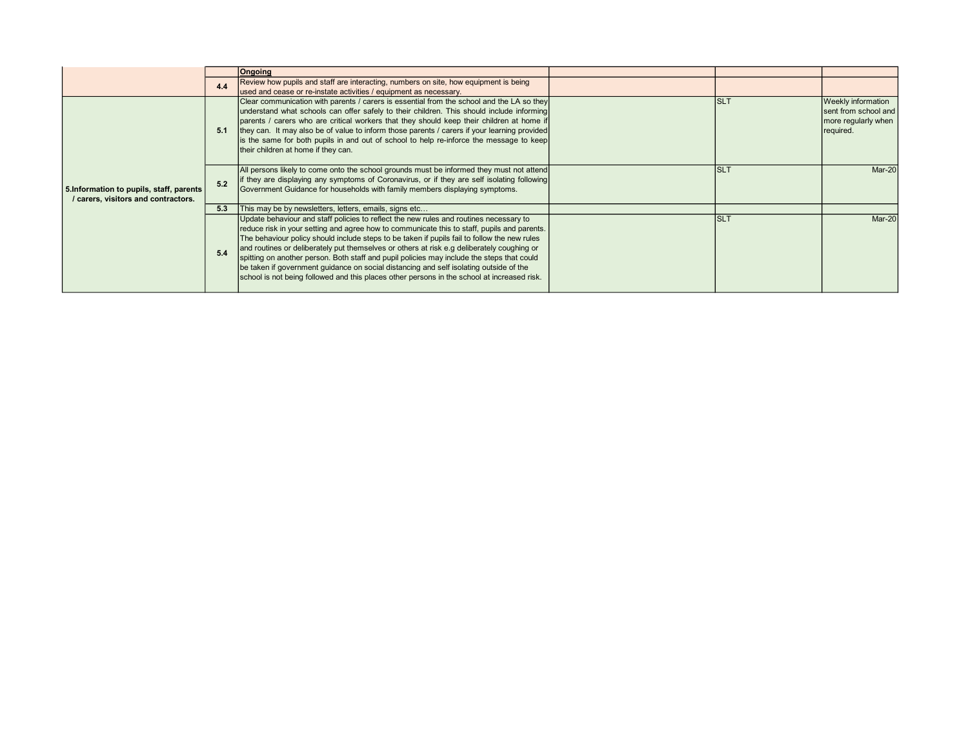|                                                                               |     | <b>Ongoing</b>                                                                                                                                                                                                                                                                                                                                                                                                                                                                                                                                                                                                                                                             |      |                                                                                       |
|-------------------------------------------------------------------------------|-----|----------------------------------------------------------------------------------------------------------------------------------------------------------------------------------------------------------------------------------------------------------------------------------------------------------------------------------------------------------------------------------------------------------------------------------------------------------------------------------------------------------------------------------------------------------------------------------------------------------------------------------------------------------------------------|------|---------------------------------------------------------------------------------------|
|                                                                               | 4.4 | Review how pupils and staff are interacting, numbers on site, how equipment is being<br>used and cease or re-instate activities / equipment as necessary.                                                                                                                                                                                                                                                                                                                                                                                                                                                                                                                  |      |                                                                                       |
|                                                                               | 5.1 | Clear communication with parents / carers is essential from the school and the LA so they<br>understand what schools can offer safely to their children. This should include informing<br>parents / carers who are critical workers that they should keep their children at home if<br>they can. It may also be of value to inform those parents / carers if your learning provided<br>is the same for both pupils in and out of school to help re-inforce the message to keep<br>their children at home if they can.                                                                                                                                                      | Is∟т | <b>Weekly information</b><br>sent from school and<br>more regularly when<br>required. |
| 5. Information to pupils, staff, parents<br>carers, visitors and contractors. | 5.2 | All persons likely to come onto the school grounds must be informed they must not attend<br>if they are displaying any symptoms of Coronavirus, or if they are self isolating following<br>Government Guidance for households with family members displaying symptoms.                                                                                                                                                                                                                                                                                                                                                                                                     | Isl1 | Mar-20                                                                                |
|                                                                               | 5.3 | This may be by newsletters, letters, emails, signs etc                                                                                                                                                                                                                                                                                                                                                                                                                                                                                                                                                                                                                     |      |                                                                                       |
|                                                                               | 5.4 | Update behaviour and staff policies to reflect the new rules and routines necessary to<br>reduce risk in your setting and agree how to communicate this to staff, pupils and parents.<br>The behaviour policy should include steps to be taken if pupils fail to follow the new rules<br>and routines or deliberately put themselves or others at risk e.g deliberately coughing or<br>spitting on another person. Both staff and pupil policies may include the steps that could<br>be taken if government guidance on social distancing and self isolating outside of the<br>school is not being followed and this places other persons in the school at increased risk. | IsL1 | <b>Mar-20</b>                                                                         |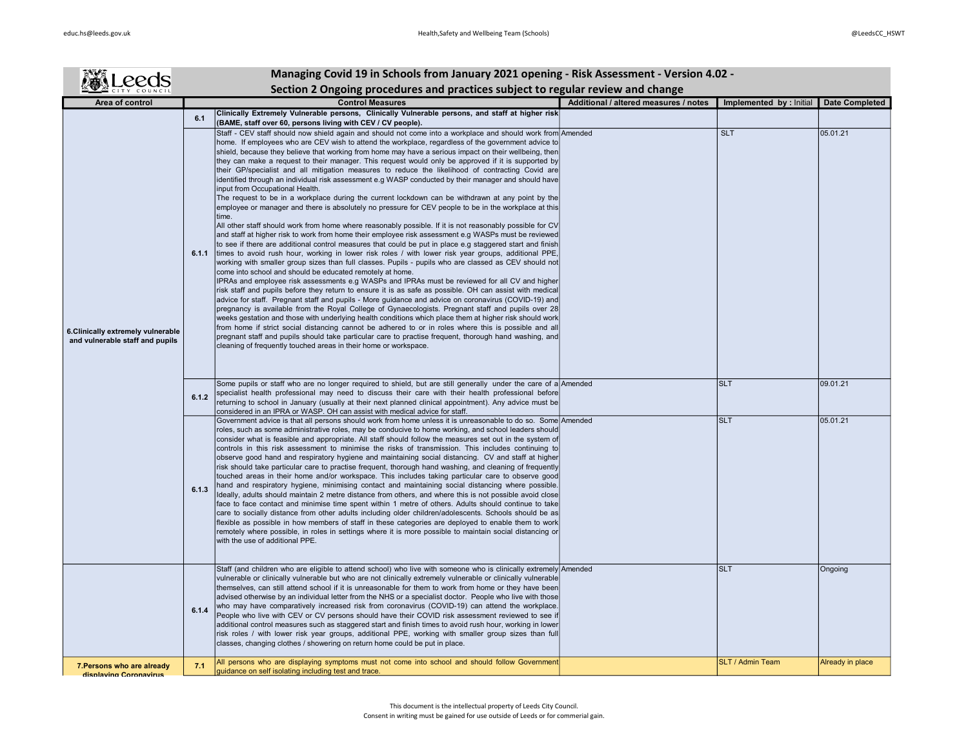| ALeeds                                                                |       | Managing Covid 19 in Schools from January 2021 opening - Risk Assessment - Version 4.02 -                                                                                                                                                                                                                                                                                                                                                                                                                                                                                                                                                                                                                                                                                                                                                                                                                                                                                                                                                                                                                                                                                                                                                                                                                                                                                                                                                                                                                                                                                                                                                                                                                                                                                                                                                                                                                                                                                                                                                                                                                                                                                                                                                                                                                                                               |                                       |                          |                       |
|-----------------------------------------------------------------------|-------|---------------------------------------------------------------------------------------------------------------------------------------------------------------------------------------------------------------------------------------------------------------------------------------------------------------------------------------------------------------------------------------------------------------------------------------------------------------------------------------------------------------------------------------------------------------------------------------------------------------------------------------------------------------------------------------------------------------------------------------------------------------------------------------------------------------------------------------------------------------------------------------------------------------------------------------------------------------------------------------------------------------------------------------------------------------------------------------------------------------------------------------------------------------------------------------------------------------------------------------------------------------------------------------------------------------------------------------------------------------------------------------------------------------------------------------------------------------------------------------------------------------------------------------------------------------------------------------------------------------------------------------------------------------------------------------------------------------------------------------------------------------------------------------------------------------------------------------------------------------------------------------------------------------------------------------------------------------------------------------------------------------------------------------------------------------------------------------------------------------------------------------------------------------------------------------------------------------------------------------------------------------------------------------------------------------------------------------------------------|---------------------------------------|--------------------------|-----------------------|
|                                                                       |       | Section 2 Ongoing procedures and practices subject to regular review and change                                                                                                                                                                                                                                                                                                                                                                                                                                                                                                                                                                                                                                                                                                                                                                                                                                                                                                                                                                                                                                                                                                                                                                                                                                                                                                                                                                                                                                                                                                                                                                                                                                                                                                                                                                                                                                                                                                                                                                                                                                                                                                                                                                                                                                                                         |                                       |                          |                       |
| Area of control                                                       |       | <b>Control Measures</b>                                                                                                                                                                                                                                                                                                                                                                                                                                                                                                                                                                                                                                                                                                                                                                                                                                                                                                                                                                                                                                                                                                                                                                                                                                                                                                                                                                                                                                                                                                                                                                                                                                                                                                                                                                                                                                                                                                                                                                                                                                                                                                                                                                                                                                                                                                                                 | Additional / altered measures / notes | Implemented by : Initial | <b>Date Completed</b> |
|                                                                       | 6.1   | Clinically Extremely Vulnerable persons, Clinically Vulnerable persons, and staff at higher risk<br>(BAME, staff over 60, persons living with CEV / CV people).                                                                                                                                                                                                                                                                                                                                                                                                                                                                                                                                                                                                                                                                                                                                                                                                                                                                                                                                                                                                                                                                                                                                                                                                                                                                                                                                                                                                                                                                                                                                                                                                                                                                                                                                                                                                                                                                                                                                                                                                                                                                                                                                                                                         |                                       |                          |                       |
| 6. Clinically extremely vulnerable<br>and vulnerable staff and pupils | 6.1.1 | Staff - CEV staff should now shield again and should not come into a workplace and should work from Amended<br>home. If employees who are CEV wish to attend the workplace, regardless of the government advice to<br>shield, because they believe that working from home may have a serious impact on their wellbeing, then<br>they can make a request to their manager. This request would only be approved if it is supported by<br>their GP/specialist and all mitigation measures to reduce the likelihood of contracting Covid are<br>identified through an individual risk assessment e.g WASP conducted by their manager and should have<br>input from Occupational Health.<br>The request to be in a workplace during the current lockdown can be withdrawn at any point by the<br>employee or manager and there is absolutely no pressure for CEV people to be in the workplace at this<br>time.<br>All other staff should work from home where reasonably possible. If it is not reasonably possible for CV<br>and staff at higher risk to work from home their employee risk assessment e.g WASPs must be reviewed<br>to see if there are additional control measures that could be put in place e.g staggered start and finish<br>times to avoid rush hour, working in lower risk roles / with lower risk year groups, additional PPE,<br>working with smaller group sizes than full classes. Pupils - pupils who are classed as CEV should not<br>come into school and should be educated remotely at home.<br>IPRAs and employee risk assessments e.g WASPs and IPRAs must be reviewed for all CV and higher<br>risk staff and pupils before they return to ensure it is as safe as possible. OH can assist with medical<br>advice for staff. Pregnant staff and pupils - More guidance and advice on coronavirus (COVID-19) and<br>pregnancy is available from the Royal College of Gynaecologists. Pregnant staff and pupils over 28<br>weeks gestation and those with underlying health conditions which place them at higher risk should work<br>from home if strict social distancing cannot be adhered to or in roles where this is possible and all<br>pregnant staff and pupils should take particular care to practise frequent, thorough hand washing, and<br>cleaning of frequently touched areas in their home or workspace. |                                       | <b>SLT</b>               | 05.01.21              |
|                                                                       | 6.1.2 | Some pupils or staff who are no longer required to shield, but are still generally under the care of a Amended<br>specialist health professional may need to discuss their care with their health professional before<br>returning to school in January (usually at their next planned clinical appointment). Any advice must be<br>considered in an IPRA or WASP. OH can assist with medical advice for staff.                                                                                                                                                                                                                                                                                                                                                                                                                                                                                                                                                                                                                                                                                                                                                                                                                                                                                                                                                                                                                                                                                                                                                                                                                                                                                                                                                                                                                                                                                                                                                                                                                                                                                                                                                                                                                                                                                                                                         |                                       | <b>SLT</b>               | 09.01.21              |
|                                                                       | 6.1.3 | Government advice is that all persons should work from home unless it is unreasonable to do so. Some Amended<br>roles, such as some administrative roles, may be conducive to home working, and school leaders should<br>consider what is feasible and appropriate. All staff should follow the measures set out in the system of<br>controls in this risk assessment to minimise the risks of transmission. This includes continuing to<br>observe good hand and respiratory hygiene and maintaining social distancing. CV and staff at higher<br>risk should take particular care to practise frequent, thorough hand washing, and cleaning of frequently<br>touched areas in their home and/or workspace. This includes taking particular care to observe good<br>hand and respiratory hygiene, minimising contact and maintaining social distancing where possible.<br>Ideally, adults should maintain 2 metre distance from others, and where this is not possible avoid close<br>face to face contact and minimise time spent within 1 metre of others. Adults should continue to take<br>care to socially distance from other adults including older children/adolescents. Schools should be as<br>flexible as possible in how members of staff in these categories are deployed to enable them to work<br>remotely where possible, in roles in settings where it is more possible to maintain social distancing or<br>with the use of additional PPE.                                                                                                                                                                                                                                                                                                                                                                                                                                                                                                                                                                                                                                                                                                                                                                                                                                                                                           |                                       | <b>SLT</b>               | 05.01.21              |
|                                                                       | 6.1.4 | Staff (and children who are eligible to attend school) who live with someone who is clinically extremely Amended<br>vulnerable or clinically vulnerable but who are not clinically extremely vulnerable or clinically vulnerable<br>themselves, can still attend school if it is unreasonable for them to work from home or they have been<br>advised otherwise by an individual letter from the NHS or a specialist doctor. People who live with those<br>who may have comparatively increased risk from coronavirus (COVID-19) can attend the workplace.<br>People who live with CEV or CV persons should have their COVID risk assessment reviewed to see if<br>additional control measures such as staggered start and finish times to avoid rush hour, working in lower<br>risk roles / with lower risk year groups, additional PPE, working with smaller group sizes than full<br>classes, changing clothes / showering on return home could be put in place.                                                                                                                                                                                                                                                                                                                                                                                                                                                                                                                                                                                                                                                                                                                                                                                                                                                                                                                                                                                                                                                                                                                                                                                                                                                                                                                                                                                     |                                       | <b>SLT</b>               | Ongoing               |
| 7. Persons who are already<br>disnlaving Coronavirus                  | 7.1   | All persons who are displaying symptoms must not come into school and should follow Government<br>guidance on self isolating including test and trace.                                                                                                                                                                                                                                                                                                                                                                                                                                                                                                                                                                                                                                                                                                                                                                                                                                                                                                                                                                                                                                                                                                                                                                                                                                                                                                                                                                                                                                                                                                                                                                                                                                                                                                                                                                                                                                                                                                                                                                                                                                                                                                                                                                                                  |                                       | <b>SLT / Admin Team</b>  | Already in place      |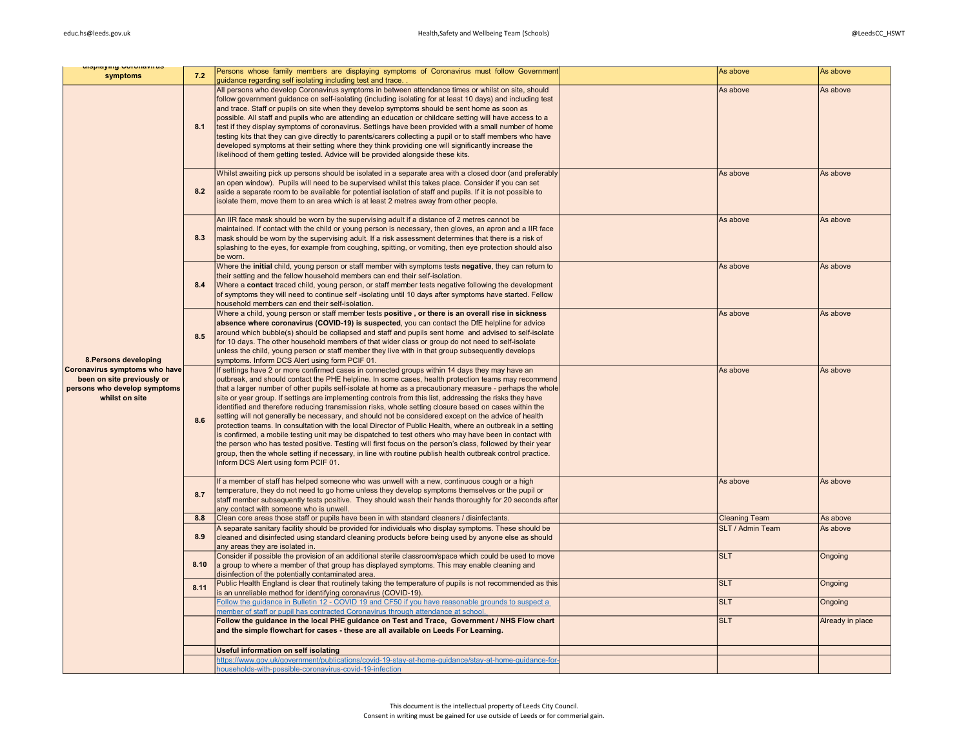| uispiaying wurunavirus<br>symptoms                                                                            | 7.2  | Persons whose family members are displaying symptoms of Coronavirus must follow Government<br>quidance regarding self isolating including test and trace.                                                                                                                                                                                                                                                                                                                                                                                                                                                                                                                                                                                                                                                                                                                                                                                                                                                                                                                                                                                  | As above             | As above         |
|---------------------------------------------------------------------------------------------------------------|------|--------------------------------------------------------------------------------------------------------------------------------------------------------------------------------------------------------------------------------------------------------------------------------------------------------------------------------------------------------------------------------------------------------------------------------------------------------------------------------------------------------------------------------------------------------------------------------------------------------------------------------------------------------------------------------------------------------------------------------------------------------------------------------------------------------------------------------------------------------------------------------------------------------------------------------------------------------------------------------------------------------------------------------------------------------------------------------------------------------------------------------------------|----------------------|------------------|
|                                                                                                               | 8.1  | All persons who develop Coronavirus symptoms in between attendance times or whilst on site, should<br>follow government guidance on self-isolating (including isolating for at least 10 days) and including test<br>and trace. Staff or pupils on site when they develop symptoms should be sent home as soon as<br>possible. All staff and pupils who are attending an education or childcare setting will have access to a<br>test if they display symptoms of coronavirus. Settings have been provided with a small number of home<br>testing kits that they can give directly to parents/carers collecting a pupil or to staff members who have<br>developed symptoms at their setting where they think providing one will significantly increase the<br>likelihood of them getting tested. Advice will be provided alongside these kits.                                                                                                                                                                                                                                                                                              | As above             | As above         |
|                                                                                                               | 8.2  | Whilst awaiting pick up persons should be isolated in a separate area with a closed door (and preferably<br>an open window). Pupils will need to be supervised whilst this takes place. Consider if you can set<br>aside a separate room to be available for potential isolation of staff and pupils. If it is not possible to<br>isolate them, move them to an area which is at least 2 metres away from other people.                                                                                                                                                                                                                                                                                                                                                                                                                                                                                                                                                                                                                                                                                                                    | As above             | As above         |
|                                                                                                               | 8.3  | An IIR face mask should be worn by the supervising adult if a distance of 2 metres cannot be<br>maintained. If contact with the child or young person is necessary, then gloves, an apron and a IIR face<br>mask should be worn by the supervising adult. If a risk assessment determines that there is a risk of<br>splashing to the eyes, for example from coughing, spitting, or vomiting, then eye protection should also<br>be worn.                                                                                                                                                                                                                                                                                                                                                                                                                                                                                                                                                                                                                                                                                                  | As above             | As above         |
|                                                                                                               | 8.4  | Where the initial child, young person or staff member with symptoms tests negative, they can return to<br>their setting and the fellow household members can end their self-isolation.<br>Where a contact traced child, young person, or staff member tests negative following the development<br>of symptoms they will need to continue self-isolating until 10 days after symptoms have started. Fellow<br>household members can end their self-isolation.                                                                                                                                                                                                                                                                                                                                                                                                                                                                                                                                                                                                                                                                               | As above             | As above         |
| 8. Persons developing                                                                                         | 8.5  | Where a child, young person or staff member tests positive, or there is an overall rise in sickness<br>absence where coronavirus (COVID-19) is suspected, you can contact the DfE helpline for advice<br>around which bubble(s) should be collapsed and staff and pupils sent home and advised to self-isolate<br>for 10 days. The other household members of that wider class or group do not need to self-isolate<br>unless the child, young person or staff member they live with in that group subsequently develops<br>symptoms. Inform DCS Alert using form PCIF 01.                                                                                                                                                                                                                                                                                                                                                                                                                                                                                                                                                                 | As above             | As above         |
| Coronavirus symptoms who have<br>been on site previously or<br>persons who develop symptoms<br>whilst on site | 8.6  | If settings have 2 or more confirmed cases in connected groups within 14 days they may have an<br>outbreak, and should contact the PHE helpline. In some cases, health protection teams may recommend<br>that a larger number of other pupils self-isolate at home as a precautionary measure - perhaps the whole<br>site or year group. If settings are implementing controls from this list, addressing the risks they have<br>identified and therefore reducing transmission risks, whole setting closure based on cases within the<br>setting will not generally be necessary, and should not be considered except on the advice of health<br>protection teams. In consultation with the local Director of Public Health, where an outbreak in a setting<br>is confirmed, a mobile testing unit may be dispatched to test others who may have been in contact with<br>the person who has tested positive. Testing will first focus on the person's class, followed by their year<br>group, then the whole setting if necessary, in line with routine publish health outbreak control practice.<br>Inform DCS Alert using form PCIF 01. | As above             | As above         |
|                                                                                                               | 8.7  | If a member of staff has helped someone who was unwell with a new, continuous cough or a high<br>temperature, they do not need to go home unless they develop symptoms themselves or the pupil or<br>staff member subsequently tests positive. They should wash their hands thoroughly for 20 seconds after<br>any contact with someone who is unwell.                                                                                                                                                                                                                                                                                                                                                                                                                                                                                                                                                                                                                                                                                                                                                                                     | As above             | As above         |
|                                                                                                               | 8.8  | Clean core areas those staff or pupils have been in with standard cleaners / disinfectants.                                                                                                                                                                                                                                                                                                                                                                                                                                                                                                                                                                                                                                                                                                                                                                                                                                                                                                                                                                                                                                                | <b>Cleaning Team</b> | As above         |
|                                                                                                               | 8.9  | A separate sanitary facility should be provided for individuals who display symptoms. These should be<br>cleaned and disinfected using standard cleaning products before being used by anyone else as should<br>any areas they are isolated in.                                                                                                                                                                                                                                                                                                                                                                                                                                                                                                                                                                                                                                                                                                                                                                                                                                                                                            | SLT / Admin Team     | As above         |
|                                                                                                               | 8.10 | Consider if possible the provision of an additional sterile classroom/space which could be used to move<br>a group to where a member of that group has displayed symptoms. This may enable cleaning and<br>disinfection of the potentially contaminated area.                                                                                                                                                                                                                                                                                                                                                                                                                                                                                                                                                                                                                                                                                                                                                                                                                                                                              | <b>SLT</b>           | Ongoing          |
|                                                                                                               | 8.11 | Public Health England is clear that routinely taking the temperature of pupils is not recommended as this<br>is an unreliable method for identifying coronavirus (COVID-19).                                                                                                                                                                                                                                                                                                                                                                                                                                                                                                                                                                                                                                                                                                                                                                                                                                                                                                                                                               | <b>SLT</b>           | Ongoing          |
|                                                                                                               |      | Follow the quidance in Bulletin 12 - COVID 19 and CF50 if you have reasonable grounds to suspect a<br>member of staff or pupil has contracted Coronavirus through attendance at school.                                                                                                                                                                                                                                                                                                                                                                                                                                                                                                                                                                                                                                                                                                                                                                                                                                                                                                                                                    | <b>SLT</b>           | Ongoing          |
|                                                                                                               |      | Follow the guidance in the local PHE guidance on Test and Trace, Government / NHS Flow chart<br>and the simple flowchart for cases - these are all available on Leeds For Learning.                                                                                                                                                                                                                                                                                                                                                                                                                                                                                                                                                                                                                                                                                                                                                                                                                                                                                                                                                        | <b>SLT</b>           | Already in place |
|                                                                                                               |      | Useful information on self isolating                                                                                                                                                                                                                                                                                                                                                                                                                                                                                                                                                                                                                                                                                                                                                                                                                                                                                                                                                                                                                                                                                                       |                      |                  |
|                                                                                                               |      | https://www.gov.uk/qovernment/publications/covid-19-stay-at-home-quidance/stay-at-home-quidance-for-<br>households-with-possible-coronavirus-covid-19-infection                                                                                                                                                                                                                                                                                                                                                                                                                                                                                                                                                                                                                                                                                                                                                                                                                                                                                                                                                                            |                      |                  |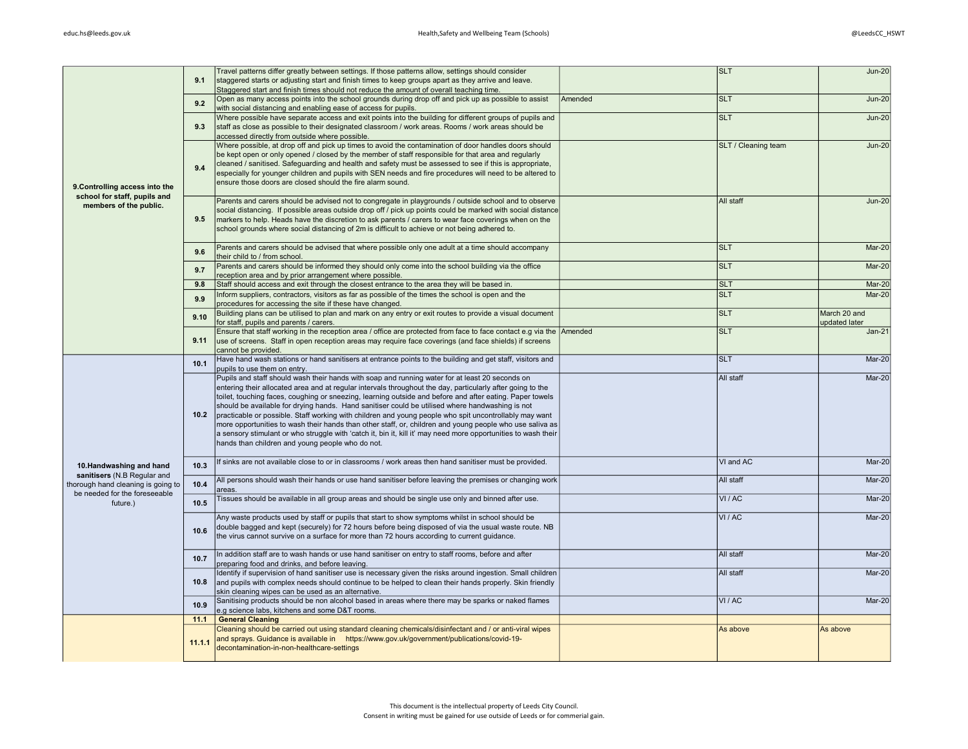|                                                        | 9.1    | Travel patterns differ greatly between settings. If those patterns allow, settings should consider<br>staggered starts or adjusting start and finish times to keep groups apart as they arrive and leave.                  |         | <b>SLT</b>                 | $Jun-20$      |
|--------------------------------------------------------|--------|----------------------------------------------------------------------------------------------------------------------------------------------------------------------------------------------------------------------------|---------|----------------------------|---------------|
|                                                        |        | Staggered start and finish times should not reduce the amount of overall teaching time.                                                                                                                                    |         |                            |               |
|                                                        |        | Open as many access points into the school grounds during drop off and pick up as possible to assist                                                                                                                       | Amended | <b>SLT</b>                 | <b>Jun-20</b> |
|                                                        | 9.2    | with social distancing and enabling ease of access for pupils.                                                                                                                                                             |         |                            |               |
|                                                        |        | Where possible have separate access and exit points into the building for different groups of pupils and                                                                                                                   |         | <b>SLT</b>                 | <b>Jun-20</b> |
|                                                        | 9.3    | staff as close as possible to their designated classroom / work areas. Rooms / work areas should be                                                                                                                        |         |                            |               |
|                                                        |        | accessed directly from outside where possible.                                                                                                                                                                             |         |                            |               |
|                                                        |        | Where possible, at drop off and pick up times to avoid the contamination of door handles doors should                                                                                                                      |         | <b>SLT / Cleaning team</b> | <b>Jun-20</b> |
|                                                        |        | be kept open or only opened / closed by the member of staff responsible for that area and regularly                                                                                                                        |         |                            |               |
|                                                        | 9.4    | cleaned / sanitised. Safeguarding and health and safety must be assessed to see if this is appropriate,<br>especially for younger children and pupils with SEN needs and fire procedures will need to be altered to        |         |                            |               |
|                                                        |        | ensure those doors are closed should the fire alarm sound.                                                                                                                                                                 |         |                            |               |
| 9. Controlling access into the                         |        |                                                                                                                                                                                                                            |         |                            |               |
| school for staff, pupils and                           |        | Parents and carers should be advised not to congregate in playgrounds / outside school and to observe                                                                                                                      |         | All staff                  | <b>Jun-20</b> |
| members of the public.                                 |        | social distancing. If possible areas outside drop off / pick up points could be marked with social distance                                                                                                                |         |                            |               |
|                                                        | 9.5    | markers to help. Heads have the discretion to ask parents / carers to wear face coverings when on the                                                                                                                      |         |                            |               |
|                                                        |        | school grounds where social distancing of 2m is difficult to achieve or not being adhered to.                                                                                                                              |         |                            |               |
|                                                        |        |                                                                                                                                                                                                                            |         |                            |               |
|                                                        | 9.6    | Parents and carers should be advised that where possible only one adult at a time should accompany<br>their child to / from school.                                                                                        |         | <b>SLT</b>                 | Mar-20        |
|                                                        |        | Parents and carers should be informed they should only come into the school building via the office                                                                                                                        |         | <b>SLT</b>                 | Mar-20        |
|                                                        | 9.7    | reception area and by prior arrangement where possible.                                                                                                                                                                    |         |                            |               |
|                                                        | 9.8    | Staff should access and exit through the closest entrance to the area they will be based in.                                                                                                                               |         | <b>SLT</b>                 | Mar-20        |
|                                                        | 9.9    | Inform suppliers, contractors, visitors as far as possible of the times the school is open and the                                                                                                                         |         | <b>SLT</b>                 | Mar-20        |
|                                                        |        | procedures for accessing the site if these have changed.                                                                                                                                                                   |         |                            |               |
|                                                        | 9.10   | Building plans can be utilised to plan and mark on any entry or exit routes to provide a visual document                                                                                                                   |         | <b>SLT</b>                 | March 20 and  |
|                                                        |        | for staff, pupils and parents / carers.                                                                                                                                                                                    |         |                            | updated later |
|                                                        |        | Ensure that staff working in the reception area / office are protected from face to face contact e.g via the Amended                                                                                                       |         | <b>SLT</b>                 | $Jan-21$      |
|                                                        | 9.11   | use of screens. Staff in open reception areas may require face coverings (and face shields) if screens                                                                                                                     |         |                            |               |
|                                                        |        | cannot be provided.<br>Have hand wash stations or hand sanitisers at entrance points to the building and get staff, visitors and                                                                                           |         | <b>SLT</b>                 | Mar-20        |
|                                                        | 10.1   | pupils to use them on entry.                                                                                                                                                                                               |         |                            |               |
|                                                        |        | Pupils and staff should wash their hands with soap and running water for at least 20 seconds on                                                                                                                            |         | All staff                  | $Mar-20$      |
|                                                        |        | entering their allocated area and at regular intervals throughout the day, particularly after going to the                                                                                                                 |         |                            |               |
|                                                        |        | toilet, touching faces, coughing or sneezing, learning outside and before and after eating. Paper towels                                                                                                                   |         |                            |               |
|                                                        |        | should be available for drying hands. Hand sanitiser could be utilised where handwashing is not                                                                                                                            |         |                            |               |
|                                                        | 10.2   | practicable or possible. Staff working with children and young people who spit uncontrollably may want                                                                                                                     |         |                            |               |
|                                                        |        | more opportunities to wash their hands than other staff, or, children and young people who use saliva as<br>a sensory stimulant or who struggle with 'catch it, bin it, kill it' may need more opportunities to wash their |         |                            |               |
|                                                        |        | hands than children and young people who do not.                                                                                                                                                                           |         |                            |               |
|                                                        |        |                                                                                                                                                                                                                            |         |                            |               |
|                                                        |        | If sinks are not available close to or in classrooms / work areas then hand sanitiser must be provided.                                                                                                                    |         | VI and AC                  | Mar-20        |
| 10.Handwashing and hand<br>sanitisers (N.B Regular and | 10.3   |                                                                                                                                                                                                                            |         |                            |               |
| thorough hand cleaning is going to                     | 10.4   | All persons should wash their hands or use hand sanitiser before leaving the premises or changing work                                                                                                                     |         | All staff                  | Mar-20        |
| be needed for the foreseeable                          |        | areas.                                                                                                                                                                                                                     |         |                            |               |
| future.)                                               | 10.5   | Tissues should be available in all group areas and should be single use only and binned after use.                                                                                                                         |         | VI / AC                    | Mar-20        |
|                                                        |        | Any waste products used by staff or pupils that start to show symptoms whilst in school should be                                                                                                                          |         | VI/AC                      | $Mar-20$      |
|                                                        |        | double bagged and kept (securely) for 72 hours before being disposed of via the usual waste route. NB                                                                                                                      |         |                            |               |
|                                                        | 10.6   | the virus cannot survive on a surface for more than 72 hours according to current guidance.                                                                                                                                |         |                            |               |
|                                                        |        |                                                                                                                                                                                                                            |         |                            |               |
|                                                        | 10.7   | In addition staff are to wash hands or use hand sanitiser on entry to staff rooms, before and after                                                                                                                        |         | All staff                  | Mar-20        |
|                                                        |        | preparing food and drinks, and before leaving.                                                                                                                                                                             |         |                            |               |
|                                                        |        | Identify if supervision of hand sanitiser use is necessary given the risks around ingestion. Small children                                                                                                                |         | All staff                  | Mar-20        |
|                                                        | 10.8   | and pupils with complex needs should continue to be helped to clean their hands properly. Skin friendly                                                                                                                    |         |                            |               |
|                                                        |        | skin cleaning wipes can be used as an alternative.                                                                                                                                                                         |         |                            |               |
|                                                        | 10.9   | Sanitising products should be non alcohol based in areas where there may be sparks or naked flames<br>e.g science labs, kitchens and some D&T rooms.                                                                       |         | VI / AC                    | Mar-20        |
|                                                        | 11.1   | <b>General Cleaning</b>                                                                                                                                                                                                    |         |                            |               |
|                                                        |        | Cleaning should be carried out using standard cleaning chemicals/disinfectant and / or anti-viral wipes                                                                                                                    |         | As above                   | As above      |
|                                                        |        | and sprays. Guidance is available in https://www.gov.uk/government/publications/covid-19-                                                                                                                                  |         |                            |               |
|                                                        | 11.1.1 | decontamination-in-non-healthcare-settings                                                                                                                                                                                 |         |                            |               |
|                                                        |        |                                                                                                                                                                                                                            |         |                            |               |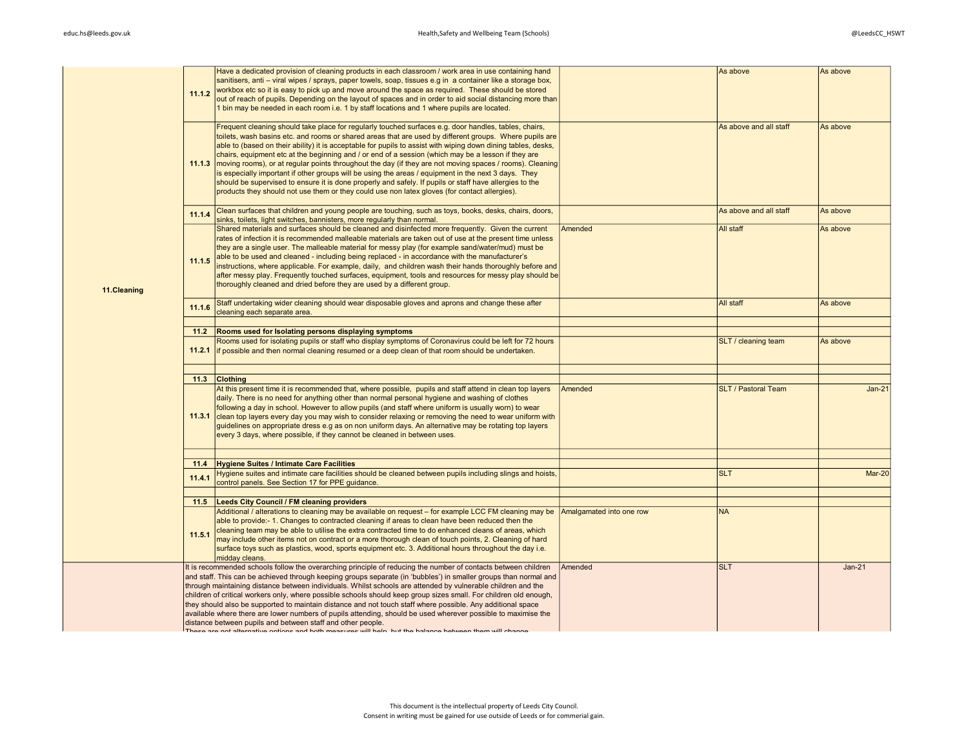| 11.1.2 | sanitisers, anti – viral wipes / sprays, paper towels, soap, tissues e.g in a container like a storage box,<br>workbox etc so it is easy to pick up and move around the space as required. These should be stored<br>out of reach of pupils. Depending on the layout of spaces and in order to aid social distancing more than<br>1 bin may be needed in each room i.e. 1 by staff locations and 1 where pupils are located.                                                                                                                                                                                                                                                                                                                                 |                                                                                                                                                                                                                                                                                                                                                                                                                                                                                                                                                                                                                                                                                                                                                                                                                                                                                                                                                                                                                                                                                                                                                                                                                                                                                                                                                                                                                                                                                                                                                                                                                                                                                                                     |                                     | As above                           |
|--------|--------------------------------------------------------------------------------------------------------------------------------------------------------------------------------------------------------------------------------------------------------------------------------------------------------------------------------------------------------------------------------------------------------------------------------------------------------------------------------------------------------------------------------------------------------------------------------------------------------------------------------------------------------------------------------------------------------------------------------------------------------------|---------------------------------------------------------------------------------------------------------------------------------------------------------------------------------------------------------------------------------------------------------------------------------------------------------------------------------------------------------------------------------------------------------------------------------------------------------------------------------------------------------------------------------------------------------------------------------------------------------------------------------------------------------------------------------------------------------------------------------------------------------------------------------------------------------------------------------------------------------------------------------------------------------------------------------------------------------------------------------------------------------------------------------------------------------------------------------------------------------------------------------------------------------------------------------------------------------------------------------------------------------------------------------------------------------------------------------------------------------------------------------------------------------------------------------------------------------------------------------------------------------------------------------------------------------------------------------------------------------------------------------------------------------------------------------------------------------------------|-------------------------------------|------------------------------------|
| 11.1.3 | Frequent cleaning should take place for regularly touched surfaces e.g. door handles, tables, chairs,<br>toilets, wash basins etc. and rooms or shared areas that are used by different groups. Where pupils are<br>able to (based on their ability) it is acceptable for pupils to assist with wiping down dining tables, desks,<br>chairs, equipment etc at the beginning and / or end of a session (which may be a lesson if they are<br>is especially important if other groups will be using the areas / equipment in the next 3 days. They<br>should be supervised to ensure it is done properly and safely. If pupils or staff have allergies to the<br>products they should not use them or they could use non latex gloves (for contact allergies). |                                                                                                                                                                                                                                                                                                                                                                                                                                                                                                                                                                                                                                                                                                                                                                                                                                                                                                                                                                                                                                                                                                                                                                                                                                                                                                                                                                                                                                                                                                                                                                                                                                                                                                                     | As above and all staff              | As above                           |
| 11.1.4 | Clean surfaces that children and young people are touching, such as toys, books, desks, chairs, doors,<br>sinks, toilets, light switches, bannisters, more regularly than normal.                                                                                                                                                                                                                                                                                                                                                                                                                                                                                                                                                                            |                                                                                                                                                                                                                                                                                                                                                                                                                                                                                                                                                                                                                                                                                                                                                                                                                                                                                                                                                                                                                                                                                                                                                                                                                                                                                                                                                                                                                                                                                                                                                                                                                                                                                                                     | As above and all staff              | As above                           |
| 11.1.5 | rates of infection it is recommended malleable materials are taken out of use at the present time unless<br>they are a single user. The malleable material for messy play (for example sand/water/mud) must be<br>able to be used and cleaned - including being replaced - in accordance with the manufacturer's<br>instructions, where applicable. For example, daily, and children wash their hands thoroughly before and<br>after messy play. Frequently touched surfaces, equipment, tools and resources for messy play should be<br>thoroughly cleaned and dried before they are used by a different group.                                                                                                                                             |                                                                                                                                                                                                                                                                                                                                                                                                                                                                                                                                                                                                                                                                                                                                                                                                                                                                                                                                                                                                                                                                                                                                                                                                                                                                                                                                                                                                                                                                                                                                                                                                                                                                                                                     |                                     | As above                           |
| 11.1.6 | Staff undertaking wider cleaning should wear disposable gloves and aprons and change these after<br>cleaning each separate area.                                                                                                                                                                                                                                                                                                                                                                                                                                                                                                                                                                                                                             |                                                                                                                                                                                                                                                                                                                                                                                                                                                                                                                                                                                                                                                                                                                                                                                                                                                                                                                                                                                                                                                                                                                                                                                                                                                                                                                                                                                                                                                                                                                                                                                                                                                                                                                     | All staff                           | As above                           |
|        |                                                                                                                                                                                                                                                                                                                                                                                                                                                                                                                                                                                                                                                                                                                                                              |                                                                                                                                                                                                                                                                                                                                                                                                                                                                                                                                                                                                                                                                                                                                                                                                                                                                                                                                                                                                                                                                                                                                                                                                                                                                                                                                                                                                                                                                                                                                                                                                                                                                                                                     |                                     |                                    |
| 11.2.1 | Rooms used for isolating pupils or staff who display symptoms of Coronavirus could be left for 72 hours                                                                                                                                                                                                                                                                                                                                                                                                                                                                                                                                                                                                                                                      |                                                                                                                                                                                                                                                                                                                                                                                                                                                                                                                                                                                                                                                                                                                                                                                                                                                                                                                                                                                                                                                                                                                                                                                                                                                                                                                                                                                                                                                                                                                                                                                                                                                                                                                     | SLT / cleaning team                 | As above                           |
|        |                                                                                                                                                                                                                                                                                                                                                                                                                                                                                                                                                                                                                                                                                                                                                              |                                                                                                                                                                                                                                                                                                                                                                                                                                                                                                                                                                                                                                                                                                                                                                                                                                                                                                                                                                                                                                                                                                                                                                                                                                                                                                                                                                                                                                                                                                                                                                                                                                                                                                                     |                                     |                                    |
| 11.3.1 | At this present time it is recommended that, where possible, pupils and staff attend in clean top layers<br>daily. There is no need for anything other than normal personal hygiene and washing of clothes<br>following a day in school. However to allow pupils (and staff where uniform is usually worn) to wear<br>guidelines on appropriate dress e.g as on non uniform days. An alternative may be rotating top layers<br>every 3 days, where possible, if they cannot be cleaned in between uses.                                                                                                                                                                                                                                                      | Amended                                                                                                                                                                                                                                                                                                                                                                                                                                                                                                                                                                                                                                                                                                                                                                                                                                                                                                                                                                                                                                                                                                                                                                                                                                                                                                                                                                                                                                                                                                                                                                                                                                                                                                             | <b>SLT / Pastoral Team</b>          | $Jan-21$                           |
|        |                                                                                                                                                                                                                                                                                                                                                                                                                                                                                                                                                                                                                                                                                                                                                              |                                                                                                                                                                                                                                                                                                                                                                                                                                                                                                                                                                                                                                                                                                                                                                                                                                                                                                                                                                                                                                                                                                                                                                                                                                                                                                                                                                                                                                                                                                                                                                                                                                                                                                                     |                                     |                                    |
| 11.4   |                                                                                                                                                                                                                                                                                                                                                                                                                                                                                                                                                                                                                                                                                                                                                              |                                                                                                                                                                                                                                                                                                                                                                                                                                                                                                                                                                                                                                                                                                                                                                                                                                                                                                                                                                                                                                                                                                                                                                                                                                                                                                                                                                                                                                                                                                                                                                                                                                                                                                                     |                                     |                                    |
| 11.4.1 | Hygiene suites and intimate care facilities should be cleaned between pupils including slings and hoists,<br>control panels. See Section 17 for PPE guidance.                                                                                                                                                                                                                                                                                                                                                                                                                                                                                                                                                                                                |                                                                                                                                                                                                                                                                                                                                                                                                                                                                                                                                                                                                                                                                                                                                                                                                                                                                                                                                                                                                                                                                                                                                                                                                                                                                                                                                                                                                                                                                                                                                                                                                                                                                                                                     | <b>SLT</b>                          | <b>Mar-20</b>                      |
|        |                                                                                                                                                                                                                                                                                                                                                                                                                                                                                                                                                                                                                                                                                                                                                              |                                                                                                                                                                                                                                                                                                                                                                                                                                                                                                                                                                                                                                                                                                                                                                                                                                                                                                                                                                                                                                                                                                                                                                                                                                                                                                                                                                                                                                                                                                                                                                                                                                                                                                                     |                                     |                                    |
|        |                                                                                                                                                                                                                                                                                                                                                                                                                                                                                                                                                                                                                                                                                                                                                              |                                                                                                                                                                                                                                                                                                                                                                                                                                                                                                                                                                                                                                                                                                                                                                                                                                                                                                                                                                                                                                                                                                                                                                                                                                                                                                                                                                                                                                                                                                                                                                                                                                                                                                                     |                                     |                                    |
| 11.5.1 | able to provide:- 1. Changes to contracted cleaning if areas to clean have been reduced then the<br>cleaning team may be able to utilise the extra contracted time to do enhanced cleans of areas, which<br>may include other items not on contract or a more thorough clean of touch points, 2. Cleaning of hard<br>surface toys such as plastics, wood, sports equipment etc. 3. Additional hours throughout the day i.e.<br>midday cleans.                                                                                                                                                                                                                                                                                                                |                                                                                                                                                                                                                                                                                                                                                                                                                                                                                                                                                                                                                                                                                                                                                                                                                                                                                                                                                                                                                                                                                                                                                                                                                                                                                                                                                                                                                                                                                                                                                                                                                                                                                                                     |                                     |                                    |
|        |                                                                                                                                                                                                                                                                                                                                                                                                                                                                                                                                                                                                                                                                                                                                                              | Amended                                                                                                                                                                                                                                                                                                                                                                                                                                                                                                                                                                                                                                                                                                                                                                                                                                                                                                                                                                                                                                                                                                                                                                                                                                                                                                                                                                                                                                                                                                                                                                                                                                                                                                             | <b>SLT</b>                          | $Jan-21$                           |
|        | 11.2<br>11.5                                                                                                                                                                                                                                                                                                                                                                                                                                                                                                                                                                                                                                                                                                                                                 | Have a dedicated provision of cleaning products in each classroom / work area in use containing hand<br>moving rooms), or at regular points throughout the day (if they are not moving spaces / rooms). Cleaning<br>Shared materials and surfaces should be cleaned and disinfected more frequently. Given the current<br>Rooms used for Isolating persons displaying symptoms<br>if possible and then normal cleaning resumed or a deep clean of that room should be undertaken.<br>11.3 Clothing<br>clean top layers every day you may wish to consider relaxing or removing the need to wear uniform with<br><b>Hygiene Suites / Intimate Care Facilities</b><br><b>Leeds City Council / FM cleaning providers</b><br>Additional / alterations to cleaning may be available on request – for example LCC FM cleaning may be<br>It is recommended schools follow the overarching principle of reducing the number of contacts between children<br>and staff. This can be achieved through keeping groups separate (in 'bubbles') in smaller groups than normal and<br>through maintaining distance between individuals. Whilst schools are attended by vulnerable children and the<br>children of critical workers only, where possible schools should keep group sizes small. For children old enough,<br>they should also be supported to maintain distance and not touch staff where possible. Any additional space<br>available where there are lower numbers of pupils attending, should be used wherever possible to maximise the<br>distance between pupils and between staff and other people.<br>These are not offernative ontions and both mosaures will boln, but the belange between them will obenes | Amended<br>Amalgamated into one row | As above<br>All staff<br><b>NA</b> |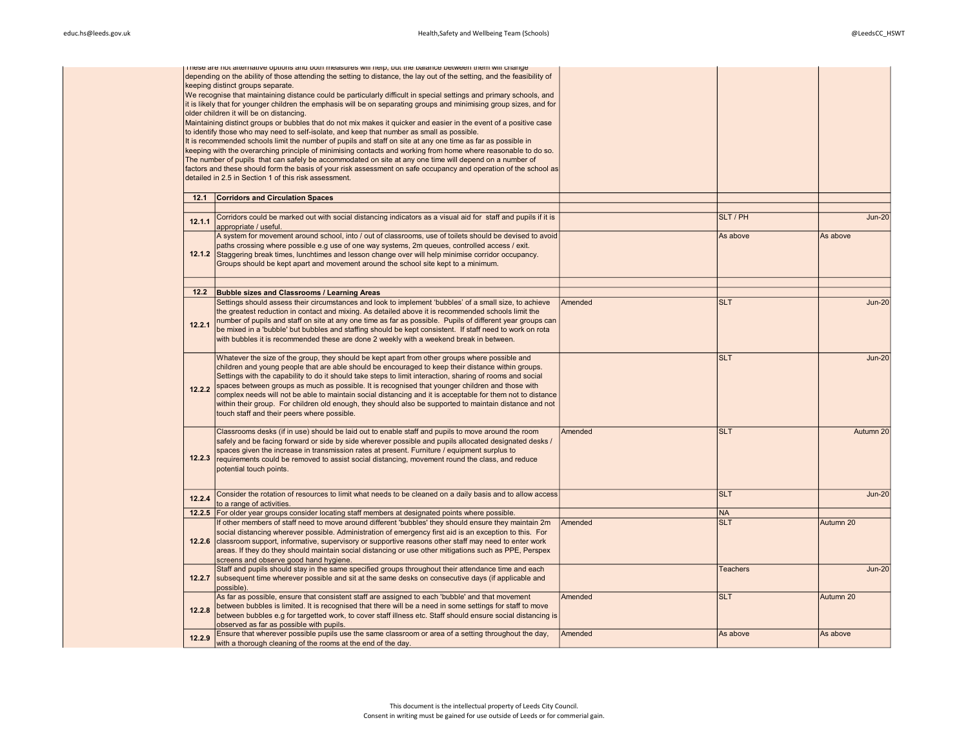|        | Friese are not anemative options and both measures will neip, but the balance between them will change<br>depending on the ability of those attending the setting to distance, the lay out of the setting, and the feasibility of<br>keeping distinct groups separate.<br>We recognise that maintaining distance could be particularly difficult in special settings and primary schools, and<br>it is likely that for younger children the emphasis will be on separating groups and minimising group sizes, and for<br>older children it will be on distancing.<br>Maintaining distinct groups or bubbles that do not mix makes it quicker and easier in the event of a positive case<br>to identify those who may need to self-isolate, and keep that number as small as possible. |         |                 |               |
|--------|---------------------------------------------------------------------------------------------------------------------------------------------------------------------------------------------------------------------------------------------------------------------------------------------------------------------------------------------------------------------------------------------------------------------------------------------------------------------------------------------------------------------------------------------------------------------------------------------------------------------------------------------------------------------------------------------------------------------------------------------------------------------------------------|---------|-----------------|---------------|
|        | It is recommended schools limit the number of pupils and staff on site at any one time as far as possible in<br>keeping with the overarching principle of minimising contacts and working from home where reasonable to do so.<br>The number of pupils that can safely be accommodated on site at any one time will depend on a number of<br>factors and these should form the basis of your risk assessment on safe occupancy and operation of the school as<br>detailed in 2.5 in Section 1 of this risk assessment.                                                                                                                                                                                                                                                                |         |                 |               |
| 12.1   | <b>Corridors and Circulation Spaces</b>                                                                                                                                                                                                                                                                                                                                                                                                                                                                                                                                                                                                                                                                                                                                               |         |                 |               |
|        |                                                                                                                                                                                                                                                                                                                                                                                                                                                                                                                                                                                                                                                                                                                                                                                       |         |                 |               |
| 12.1.1 | Corridors could be marked out with social distancing indicators as a visual aid for staff and pupils if it is<br>appropriate / useful.                                                                                                                                                                                                                                                                                                                                                                                                                                                                                                                                                                                                                                                |         | SLT/PH          | $Jun-20$      |
|        | A system for movement around school, into / out of classrooms, use of toilets should be devised to avoid<br>paths crossing where possible e.g use of one way systems, 2m queues, controlled access / exit.<br>12.1.2 Staggering break times, lunchtimes and lesson change over will help minimise corridor occupancy.<br>Groups should be kept apart and movement around the school site kept to a minimum.                                                                                                                                                                                                                                                                                                                                                                           |         | As above        | As above      |
| 12.2   | <b>Bubble sizes and Classrooms / Learning Areas</b>                                                                                                                                                                                                                                                                                                                                                                                                                                                                                                                                                                                                                                                                                                                                   |         |                 |               |
| 12.2.1 | Settings should assess their circumstances and look to implement 'bubbles' of a small size, to achieve<br>the greatest reduction in contact and mixing. As detailed above it is recommended schools limit the<br>number of pupils and staff on site at any one time as far as possible. Pupils of different year groups can<br>be mixed in a 'bubble' but bubbles and staffing should be kept consistent. If staff need to work on rota<br>with bubbles it is recommended these are done 2 weekly with a weekend break in between.                                                                                                                                                                                                                                                    | Amended | <b>SLT</b>      | $Jun-20$      |
| 12.2.2 | Whatever the size of the group, they should be kept apart from other groups where possible and<br>children and young people that are able should be encouraged to keep their distance within groups.<br>Settings with the capability to do it should take steps to limit interaction, sharing of rooms and social<br>spaces between groups as much as possible. It is recognised that younger children and those with<br>complex needs will not be able to maintain social distancing and it is acceptable for them not to distance<br>within their group. For children old enough, they should also be supported to maintain distance and not<br>touch staff and their peers where possible.                                                                                         |         | <b>SLT</b>      | <b>Jun-20</b> |
| 12.2.3 | Classrooms desks (if in use) should be laid out to enable staff and pupils to move around the room<br>safely and be facing forward or side by side wherever possible and pupils allocated designated desks /<br>spaces given the increase in transmission rates at present. Furniture / equipment surplus to<br>requirements could be removed to assist social distancing, movement round the class, and reduce<br>potential touch points.                                                                                                                                                                                                                                                                                                                                            | Amended | <b>SLT</b>      | Autumn 20     |
| 12.2.4 | Consider the rotation of resources to limit what needs to be cleaned on a daily basis and to allow access<br>to a range of activities.                                                                                                                                                                                                                                                                                                                                                                                                                                                                                                                                                                                                                                                |         | <b>SLT</b>      | $Jun-20$      |
|        | 12.2.5 For older year groups consider locating staff members at designated points where possible.                                                                                                                                                                                                                                                                                                                                                                                                                                                                                                                                                                                                                                                                                     |         | <b>NA</b>       |               |
|        | If other members of staff need to move around different 'bubbles' they should ensure they maintain 2m<br>social distancing wherever possible. Administration of emergency first aid is an exception to this. For<br>12.2.6 classroom support, informative, supervisory or supportive reasons other staff may need to enter work<br>areas. If they do they should maintain social distancing or use other mitigations such as PPE, Perspex<br>screens and observe good hand hygiene.                                                                                                                                                                                                                                                                                                   | Amended | <b>SLT</b>      | Autumn 20     |
| 12.2.7 | Staff and pupils should stay in the same specified groups throughout their attendance time and each<br>subsequent time wherever possible and sit at the same desks on consecutive days (if applicable and<br>possible).                                                                                                                                                                                                                                                                                                                                                                                                                                                                                                                                                               |         | <b>Teachers</b> | <b>Jun-20</b> |
| 12.2.8 | As far as possible, ensure that consistent staff are assigned to each 'bubble' and that movement<br>between bubbles is limited. It is recognised that there will be a need in some settings for staff to move<br>between bubbles e.g for targetted work, to cover staff illness etc. Staff should ensure social distancing is<br>observed as far as possible with pupils.                                                                                                                                                                                                                                                                                                                                                                                                             | Amended | <b>SLT</b>      | Autumn 20     |
| 12.2.9 | Ensure that wherever possible pupils use the same classroom or area of a setting throughout the day,<br>with a thorough cleaning of the rooms at the end of the day.                                                                                                                                                                                                                                                                                                                                                                                                                                                                                                                                                                                                                  | Amended | As above        | As above      |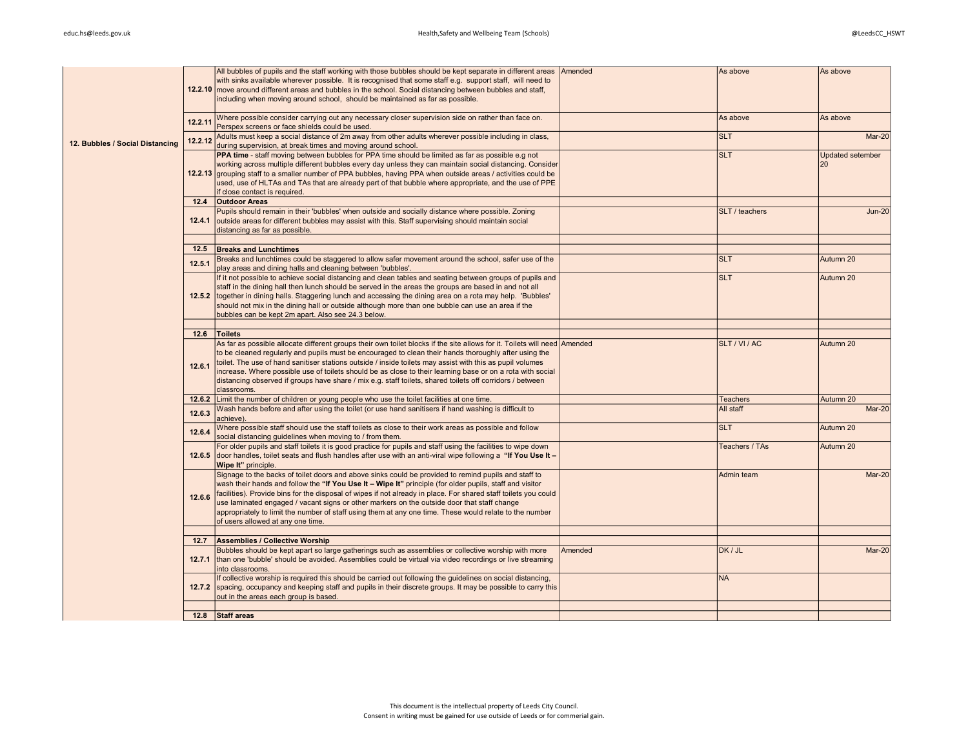|                                 |         | All bubbles of pupils and the staff working with those bubbles should be kept separate in different areas                 | Amended | As above        | As above                |
|---------------------------------|---------|---------------------------------------------------------------------------------------------------------------------------|---------|-----------------|-------------------------|
|                                 |         | with sinks available wherever possible. It is recognised that some staff e.g. support staff, will need to                 |         |                 |                         |
|                                 |         | 12.2.10 move around different areas and bubbles in the school. Social distancing between bubbles and staff,               |         |                 |                         |
|                                 |         | including when moving around school, should be maintained as far as possible.                                             |         |                 |                         |
|                                 |         |                                                                                                                           |         |                 |                         |
|                                 | 12.2.11 | Where possible consider carrying out any necessary closer supervision side on rather than face on.                        |         | As above        | As above                |
|                                 |         | Perspex screens or face shields could be used.                                                                            |         |                 |                         |
|                                 | 12.2.12 | Adults must keep a social distance of 2m away from other adults wherever possible including in class,                     |         | <b>SLT</b>      | $Mar-20$                |
| 12. Bubbles / Social Distancing |         | during supervision, at break times and moving around school.                                                              |         |                 |                         |
|                                 |         | PPA time - staff moving between bubbles for PPA time should be limited as far as possible e.g not                         |         | <b>SLT</b>      | <b>Updated setember</b> |
|                                 |         | working across multiple different bubbles every day unless they can maintain social distancing. Consider                  |         |                 | 20                      |
|                                 |         | 12.2.13 grouping staff to a smaller number of PPA bubbles, having PPA when outside areas / activities could be            |         |                 |                         |
|                                 |         | used, use of HLTAs and TAs that are already part of that bubble where appropriate, and the use of PPE                     |         |                 |                         |
|                                 |         | if close contact is required.                                                                                             |         |                 |                         |
|                                 |         | 12.4 <b>Outdoor Areas</b>                                                                                                 |         |                 |                         |
|                                 |         | Pupils should remain in their 'bubbles' when outside and socially distance where possible. Zoning                         |         | SLT / teachers  | $Jun-20$                |
|                                 |         | 12.4.1 outside areas for different bubbles may assist with this. Staff supervising should maintain social                 |         |                 |                         |
|                                 |         | distancing as far as possible.                                                                                            |         |                 |                         |
|                                 |         |                                                                                                                           |         |                 |                         |
|                                 |         | 12.5 Breaks and Lunchtimes                                                                                                |         |                 |                         |
|                                 | 12.5.1  | Breaks and lunchtimes could be staggered to allow safer movement around the school, safer use of the                      |         | <b>SLT</b>      | Autumn 20               |
|                                 |         | play areas and dining halls and cleaning between 'bubbles'.                                                               |         |                 |                         |
|                                 |         | If it not possible to achieve social distancing and clean tables and seating between groups of pupils and                 |         | <b>SLT</b>      | Autumn 20               |
|                                 |         | staff in the dining hall then lunch should be served in the areas the groups are based in and not all                     |         |                 |                         |
|                                 |         | 12.5.2 together in dining halls. Staggering lunch and accessing the dining area on a rota may help. 'Bubbles'             |         |                 |                         |
|                                 |         | should not mix in the dining hall or outside although more than one bubble can use an area if the                         |         |                 |                         |
|                                 |         | bubbles can be kept 2m apart. Also see 24.3 below.                                                                        |         |                 |                         |
|                                 |         |                                                                                                                           |         |                 |                         |
|                                 |         | 12.6 Toilets                                                                                                              |         |                 |                         |
|                                 |         | As far as possible allocate different groups their own toilet blocks if the site allows for it. Toilets will need Amended |         | SLT/VI/AC       | Autumn 20               |
|                                 |         | to be cleaned regularly and pupils must be encouraged to clean their hands thoroughly after using the                     |         |                 |                         |
|                                 | 12.6.1  | toilet. The use of hand sanitiser stations outside / inside toilets may assist with this as pupil volumes                 |         |                 |                         |
|                                 |         | increase. Where possible use of toilets should be as close to their learning base or on a rota with social                |         |                 |                         |
|                                 |         | distancing observed if groups have share / mix e.g. staff toilets, shared toilets off corridors / between                 |         |                 |                         |
|                                 |         | classrooms.                                                                                                               |         |                 |                         |
|                                 |         | 12.6.2 Limit the number of children or young people who use the toilet facilities at one time.                            |         | <b>Teachers</b> | Autumn 20               |
|                                 | 12.6.3  | Wash hands before and after using the toilet (or use hand sanitisers if hand washing is difficult to                      |         | All staff       | Mar-20                  |
|                                 |         | achieve).                                                                                                                 |         |                 |                         |
|                                 | 12.6.4  | Where possible staff should use the staff toilets as close to their work areas as possible and follow                     |         | <b>SLT</b>      | Autumn 20               |
|                                 |         | social distancing quidelines when moving to / from them.                                                                  |         |                 |                         |
|                                 |         | For older pupils and staff toilets it is good practice for pupils and staff using the facilities to wipe down             |         | Teachers / TAs  | Autumn 20               |
|                                 |         | 12.6.5 door handles, toilet seats and flush handles after use with an anti-viral wipe following a "If You Use It -        |         |                 |                         |
|                                 |         | Wipe It" principle.                                                                                                       |         |                 |                         |
|                                 |         | Signage to the backs of toilet doors and above sinks could be provided to remind pupils and staff to                      |         | Admin team      | $Mar-20$                |
|                                 |         | wash their hands and follow the "If You Use It - Wipe It" principle (for older pupils, staff and visitor                  |         |                 |                         |
|                                 | 12.6.6  | facilities). Provide bins for the disposal of wipes if not already in place. For shared staff toilets you could           |         |                 |                         |
|                                 |         | use laminated engaged / vacant signs or other markers on the outside door that staff change                               |         |                 |                         |
|                                 |         | appropriately to limit the number of staff using them at any one time. These would relate to the number                   |         |                 |                         |
|                                 |         | of users allowed at any one time.                                                                                         |         |                 |                         |
|                                 |         | 12.7 Assemblies / Collective Worship                                                                                      |         |                 |                         |
|                                 |         | Bubbles should be kept apart so large gatherings such as assemblies or collective worship with more                       | Amended | DK / JL         | Mar-20                  |
|                                 |         | 12.7.1 than one 'bubble' should be avoided. Assemblies could be virtual via video recordings or live streaming            |         |                 |                         |
|                                 |         | into classrooms.                                                                                                          |         |                 |                         |
|                                 |         | If collective worship is required this should be carried out following the quidelines on social distancing,               |         | <b>NA</b>       |                         |
|                                 |         | 12.7.2 spacing, occupancy and keeping staff and pupils in their discrete groups. It may be possible to carry this         |         |                 |                         |
|                                 |         | out in the areas each group is based.                                                                                     |         |                 |                         |
|                                 |         |                                                                                                                           |         |                 |                         |
|                                 |         | 12.8 Staff areas                                                                                                          |         |                 |                         |
|                                 |         |                                                                                                                           |         |                 |                         |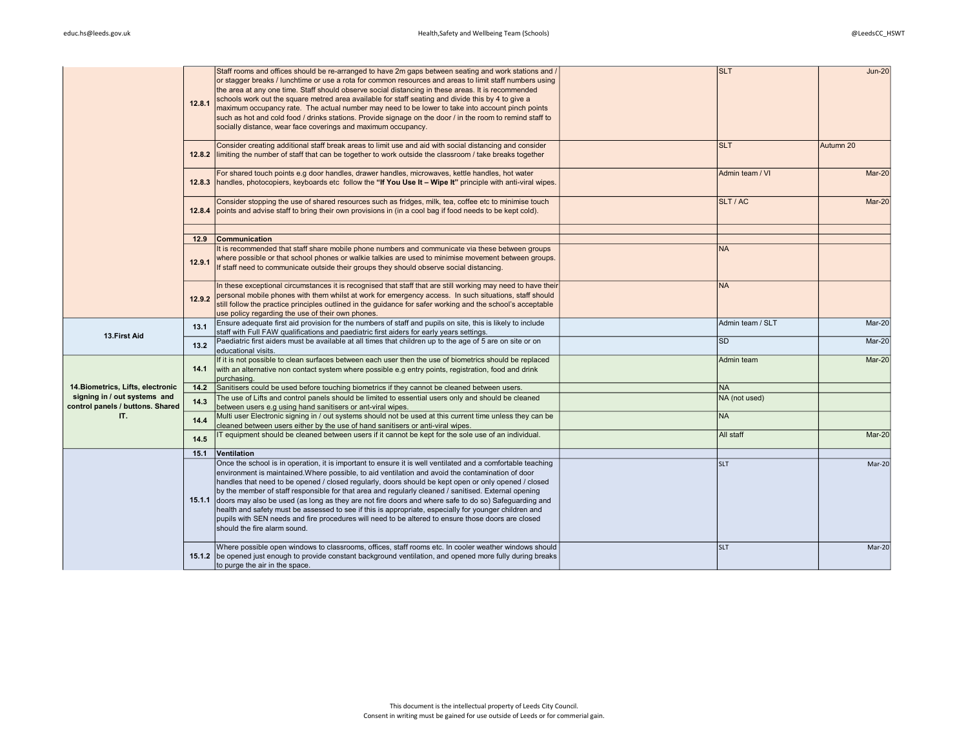|                                                                  | 12.8.1 | Staff rooms and offices should be re-arranged to have 2m gaps between seating and work stations and /<br>or stagger breaks / lunchtime or use a rota for common resources and areas to limit staff numbers using<br>the area at any one time. Staff should observe social distancing in these areas. It is recommended<br>schools work out the square metred area available for staff seating and divide this by 4 to give a<br>maximum occupancy rate. The actual number may need to be lower to take into account pinch points<br>such as hot and cold food / drinks stations. Provide signage on the door / in the room to remind staff to<br>socially distance, wear face coverings and maximum occupancy.                                                                                 | <b>SLT</b>       | $Jun-20$  |
|------------------------------------------------------------------|--------|------------------------------------------------------------------------------------------------------------------------------------------------------------------------------------------------------------------------------------------------------------------------------------------------------------------------------------------------------------------------------------------------------------------------------------------------------------------------------------------------------------------------------------------------------------------------------------------------------------------------------------------------------------------------------------------------------------------------------------------------------------------------------------------------|------------------|-----------|
|                                                                  |        | Consider creating additional staff break areas to limit use and aid with social distancing and consider<br>12.8.2 limiting the number of staff that can be together to work outside the classroom / take breaks together                                                                                                                                                                                                                                                                                                                                                                                                                                                                                                                                                                       | <b>SLT</b>       | Autumn 20 |
|                                                                  |        | For shared touch points e.g door handles, drawer handles, microwaves, kettle handles, hot water<br>12.8.3   handles, photocopiers, keyboards etc follow the "If You Use It - Wipe It" principle with anti-viral wipes.                                                                                                                                                                                                                                                                                                                                                                                                                                                                                                                                                                         | Admin team / VI  | Mar-20    |
|                                                                  |        | Consider stopping the use of shared resources such as fridges, milk, tea, coffee etc to minimise touch<br>12.8.4 points and advise staff to bring their own provisions in (in a cool bag if food needs to be kept cold).                                                                                                                                                                                                                                                                                                                                                                                                                                                                                                                                                                       | SLT/AC           | Mar-20    |
|                                                                  |        |                                                                                                                                                                                                                                                                                                                                                                                                                                                                                                                                                                                                                                                                                                                                                                                                |                  |           |
|                                                                  | 12.9   | Communication                                                                                                                                                                                                                                                                                                                                                                                                                                                                                                                                                                                                                                                                                                                                                                                  | <b>NA</b>        |           |
|                                                                  | 12.9.1 | It is recommended that staff share mobile phone numbers and communicate via these between groups<br>where possible or that school phones or walkie talkies are used to minimise movement between groups.<br>If staff need to communicate outside their groups they should observe social distancing.                                                                                                                                                                                                                                                                                                                                                                                                                                                                                           |                  |           |
|                                                                  | 12.9.2 | In these exceptional circumstances it is recognised that staff that are still working may need to have their<br>personal mobile phones with them whilst at work for emergency access. In such situations, staff should<br>still follow the practice principles outlined in the guidance for safer working and the school's acceptable<br>use policy regarding the use of their own phones.                                                                                                                                                                                                                                                                                                                                                                                                     | <b>NA</b>        |           |
| 13. First Aid                                                    | 13.1   | Ensure adequate first aid provision for the numbers of staff and pupils on site, this is likely to include<br>staff with Full FAW qualifications and paediatric first aiders for early years settings.                                                                                                                                                                                                                                                                                                                                                                                                                                                                                                                                                                                         | Admin team / SLT | Mar-20    |
|                                                                  | 13.2   | Paediatric first aiders must be available at all times that children up to the age of 5 are on site or on<br>educational visits.                                                                                                                                                                                                                                                                                                                                                                                                                                                                                                                                                                                                                                                               | <b>SD</b>        | Mar-20    |
|                                                                  | 14.1   | If it is not possible to clean surfaces between each user then the use of biometrics should be replaced<br>with an alternative non contact system where possible e.g entry points, registration, food and drink<br>purchasing.                                                                                                                                                                                                                                                                                                                                                                                                                                                                                                                                                                 | Admin team       | Mar-20    |
| 14. Biometrics, Lifts, electronic                                | 14.2   | Sanitisers could be used before touching biometrics if they cannot be cleaned between users.                                                                                                                                                                                                                                                                                                                                                                                                                                                                                                                                                                                                                                                                                                   | <b>NA</b>        |           |
| signing in / out systems and<br>control panels / buttons. Shared | 14.3   | The use of Lifts and control panels should be limited to essential users only and should be cleaned<br>between users e.g using hand sanitisers or ant-viral wipes.                                                                                                                                                                                                                                                                                                                                                                                                                                                                                                                                                                                                                             | NA (not used)    |           |
| IT.                                                              | 14.4   | Multi user Electronic signing in / out systems should not be used at this current time unless they can be<br>cleaned between users either by the use of hand sanitisers or anti-viral wipes.                                                                                                                                                                                                                                                                                                                                                                                                                                                                                                                                                                                                   | <b>NA</b>        |           |
|                                                                  | 14.5   | IT equipment should be cleaned between users if it cannot be kept for the sole use of an individual.                                                                                                                                                                                                                                                                                                                                                                                                                                                                                                                                                                                                                                                                                           | All staff        | Mar-20    |
|                                                                  | 15.1   | Ventilation                                                                                                                                                                                                                                                                                                                                                                                                                                                                                                                                                                                                                                                                                                                                                                                    |                  |           |
|                                                                  |        | Once the school is in operation, it is important to ensure it is well ventilated and a comfortable teaching<br>environment is maintained. Where possible, to aid ventilation and avoid the contamination of door<br>handles that need to be opened / closed regularly, doors should be kept open or only opened / closed<br>by the member of staff responsible for that area and regularly cleaned / sanitised. External opening<br>15.1.1 doors may also be used (as long as they are not fire doors and where safe to do so) Safequarding and<br>health and safety must be assessed to see if this is appropriate, especially for younger children and<br>pupils with SEN needs and fire procedures will need to be altered to ensure those doors are closed<br>should the fire alarm sound. | <b>SLT</b>       | Mar-20    |
|                                                                  |        | Where possible open windows to classrooms, offices, staff rooms etc. In cooler weather windows should<br>15.1.2 be opened just enough to provide constant background ventilation, and opened more fully during breaks<br>to purge the air in the space.                                                                                                                                                                                                                                                                                                                                                                                                                                                                                                                                        | <b>SLT</b>       | Mar-20    |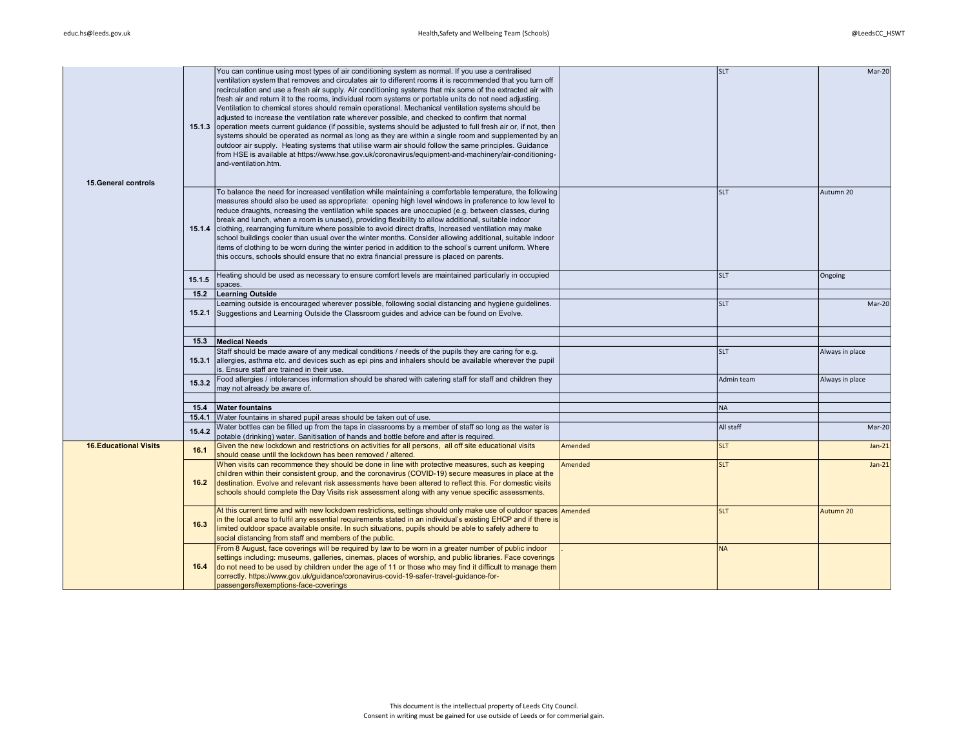| <b>15. General controls</b>   |                | You can continue using most types of air conditioning system as normal. If you use a centralised<br>ventilation system that removes and circulates air to different rooms it is recommended that you turn off<br>recirculation and use a fresh air supply. Air conditioning systems that mix some of the extracted air with<br>fresh air and return it to the rooms, individual room systems or portable units do not need adjusting.<br>Ventilation to chemical stores should remain operational. Mechanical ventilation systems should be<br>adjusted to increase the ventilation rate wherever possible, and checked to confirm that normal<br>15.1.3 operation meets current guidance (if possible, systems should be adjusted to full fresh air or, if not, then<br>systems should be operated as normal as long as they are within a single room and supplemented by an<br>outdoor air supply. Heating systems that utilise warm air should follow the same principles. Guidance<br>from HSE is available at https://www.hse.gov.uk/coronavirus/equipment-and-machinery/air-conditioning-<br>and-ventilation.htm. |         | <b>SLT</b> | Mar-20          |
|-------------------------------|----------------|-------------------------------------------------------------------------------------------------------------------------------------------------------------------------------------------------------------------------------------------------------------------------------------------------------------------------------------------------------------------------------------------------------------------------------------------------------------------------------------------------------------------------------------------------------------------------------------------------------------------------------------------------------------------------------------------------------------------------------------------------------------------------------------------------------------------------------------------------------------------------------------------------------------------------------------------------------------------------------------------------------------------------------------------------------------------------------------------------------------------------|---------|------------|-----------------|
|                               |                | To balance the need for increased ventilation while maintaining a comfortable temperature, the following<br>measures should also be used as appropriate: opening high level windows in preference to low level to<br>reduce draughts, ncreasing the ventilation while spaces are unoccupied (e.g. between classes, during<br>break and lunch, when a room is unused), providing flexibility to allow additional, suitable indoor<br>15.1.4 clothing, rearranging furniture where possible to avoid direct drafts, Increased ventilation may make<br>school buildings cooler than usual over the winter months. Consider allowing additional, suitable indoor<br>items of clothing to be worn during the winter period in addition to the school's current uniform. Where<br>this occurs, schools should ensure that no extra financial pressure is placed on parents.                                                                                                                                                                                                                                                   |         | <b>SLT</b> | Autumn 20       |
|                               | 15.1.5         | Heating should be used as necessary to ensure comfort levels are maintained particularly in occupied<br>spaces.                                                                                                                                                                                                                                                                                                                                                                                                                                                                                                                                                                                                                                                                                                                                                                                                                                                                                                                                                                                                         |         | <b>SLT</b> | Ongoing         |
|                               | 15.2           | <b>Learning Outside</b>                                                                                                                                                                                                                                                                                                                                                                                                                                                                                                                                                                                                                                                                                                                                                                                                                                                                                                                                                                                                                                                                                                 |         |            |                 |
|                               |                | Learning outside is encouraged wherever possible, following social distancing and hygiene guidelines.<br>15.2.1 Suggestions and Learning Outside the Classroom guides and advice can be found on Evolve.                                                                                                                                                                                                                                                                                                                                                                                                                                                                                                                                                                                                                                                                                                                                                                                                                                                                                                                |         | <b>SLT</b> | Mar-20          |
|                               |                |                                                                                                                                                                                                                                                                                                                                                                                                                                                                                                                                                                                                                                                                                                                                                                                                                                                                                                                                                                                                                                                                                                                         |         |            |                 |
|                               | 15.3<br>15.3.1 | <b>Medical Needs</b><br>Staff should be made aware of any medical conditions / needs of the pupils they are caring for e.g.<br>allergies, asthma etc. and devices such as epi pins and inhalers should be available wherever the pupil<br>is. Ensure staff are trained in their use.                                                                                                                                                                                                                                                                                                                                                                                                                                                                                                                                                                                                                                                                                                                                                                                                                                    |         | <b>SLT</b> | Always in place |
|                               | 15.3.2         | Food allergies / intolerances information should be shared with catering staff for staff and children they<br>may not already be aware of.                                                                                                                                                                                                                                                                                                                                                                                                                                                                                                                                                                                                                                                                                                                                                                                                                                                                                                                                                                              |         | Admin team | Always in place |
|                               | 15.4           | <b>Water fountains</b>                                                                                                                                                                                                                                                                                                                                                                                                                                                                                                                                                                                                                                                                                                                                                                                                                                                                                                                                                                                                                                                                                                  |         | NA         |                 |
|                               |                | 15.4.1 Water fountains in shared pupil areas should be taken out of use.                                                                                                                                                                                                                                                                                                                                                                                                                                                                                                                                                                                                                                                                                                                                                                                                                                                                                                                                                                                                                                                |         |            |                 |
|                               | 15.4.2         | Water bottles can be filled up from the taps in classrooms by a member of staff so long as the water is<br>potable (drinking) water. Sanitisation of hands and bottle before and after is required.                                                                                                                                                                                                                                                                                                                                                                                                                                                                                                                                                                                                                                                                                                                                                                                                                                                                                                                     |         | All staff  | Mar-20          |
| <b>16. Educational Visits</b> | 16.1           | Given the new lockdown and restrictions on activities for all persons, all off site educational visits<br>should cease until the lockdown has been removed / altered.                                                                                                                                                                                                                                                                                                                                                                                                                                                                                                                                                                                                                                                                                                                                                                                                                                                                                                                                                   | Amended | <b>SLT</b> | $Jan-21$        |
|                               | 16.2           | When visits can recommence they should be done in line with protective measures, such as keeping<br>children within their consistent group, and the coronavirus (COVID-19) secure measures in place at the<br>destination. Evolve and relevant risk assessments have been altered to reflect this. For domestic visits<br>schools should complete the Day Visits risk assessment along with any venue specific assessments.                                                                                                                                                                                                                                                                                                                                                                                                                                                                                                                                                                                                                                                                                             | Amended | <b>SLT</b> | $Jan-21$        |
|                               | 16.3           | At this current time and with new lockdown restrictions, settings should only make use of outdoor spaces Amended<br>in the local area to fulfil any essential requirements stated in an individual's existing EHCP and if there is<br>limited outdoor space available onsite. In such situations, pupils should be able to safely adhere to<br>social distancing from staff and members of the public.                                                                                                                                                                                                                                                                                                                                                                                                                                                                                                                                                                                                                                                                                                                  |         | <b>SLT</b> | Autumn 20       |
|                               | 16.4           | From 8 August, face coverings will be required by law to be worn in a greater number of public indoor<br>settings including: museums, galleries, cinemas, places of worship, and public libraries. Face coverings<br>do not need to be used by children under the age of 11 or those who may find it difficult to manage them<br>correctly. https://www.gov.uk/guidance/coronavirus-covid-19-safer-travel-guidance-for-<br>passengers#exemptions-face-coverings                                                                                                                                                                                                                                                                                                                                                                                                                                                                                                                                                                                                                                                         |         | <b>NA</b>  |                 |
|                               |                |                                                                                                                                                                                                                                                                                                                                                                                                                                                                                                                                                                                                                                                                                                                                                                                                                                                                                                                                                                                                                                                                                                                         |         |            |                 |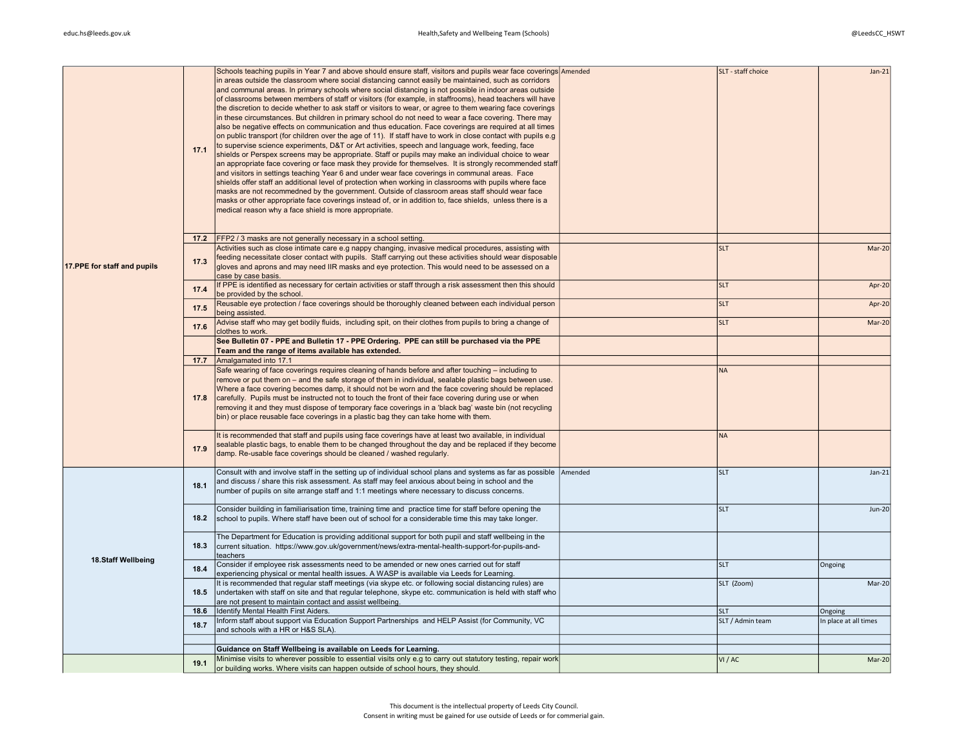|                              | 17.1 | Schools teaching pupils in Year 7 and above should ensure staff, visitors and pupils wear face coverings Amended<br>in areas outside the classroom where social distancing cannot easily be maintained, such as corridors<br>and communal areas. In primary schools where social distancing is not possible in indoor areas outside<br>of classrooms between members of staff or visitors (for example, in staffrooms), head teachers will have<br>the discretion to decide whether to ask staff or visitors to wear, or agree to them wearing face coverings<br>in these circumstances. But children in primary school do not need to wear a face covering. There may<br>also be negative effects on communication and thus education. Face coverings are required at all times<br>on public transport (for children over the age of 11). If staff have to work in close contact with pupils e.g<br>to supervise science experiments, D&T or Art activities, speech and language work, feeding, face<br>shields or Perspex screens may be appropriate. Staff or pupils may make an individual choice to wear<br>an appropriate face covering or face mask they provide for themselves. It is strongly recommended staff<br>and visitors in settings teaching Year 6 and under wear face coverings in communal areas. Face<br>shields offer staff an additional level of protection when working in classrooms with pupils where face<br>masks are not recommedned by the government. Outside of classroom areas staff should wear face<br>masks or other appropriate face coverings instead of, or in addition to, face shields, unless there is a<br>medical reason why a face shield is more appropriate. | SLT - staff choice | $Jan-21$              |
|------------------------------|------|--------------------------------------------------------------------------------------------------------------------------------------------------------------------------------------------------------------------------------------------------------------------------------------------------------------------------------------------------------------------------------------------------------------------------------------------------------------------------------------------------------------------------------------------------------------------------------------------------------------------------------------------------------------------------------------------------------------------------------------------------------------------------------------------------------------------------------------------------------------------------------------------------------------------------------------------------------------------------------------------------------------------------------------------------------------------------------------------------------------------------------------------------------------------------------------------------------------------------------------------------------------------------------------------------------------------------------------------------------------------------------------------------------------------------------------------------------------------------------------------------------------------------------------------------------------------------------------------------------------------------------------------------------------------------------------------------------------|--------------------|-----------------------|
|                              | 17.2 | <b>FFP2</b> / 3 masks are not generally necessary in a school setting.                                                                                                                                                                                                                                                                                                                                                                                                                                                                                                                                                                                                                                                                                                                                                                                                                                                                                                                                                                                                                                                                                                                                                                                                                                                                                                                                                                                                                                                                                                                                                                                                                                       |                    |                       |
| 17. PPE for staff and pupils | 17.3 | Activities such as close intimate care e.g nappy changing, invasive medical procedures, assisting with<br>feeding necessitate closer contact with pupils. Staff carrying out these activities should wear disposable<br>gloves and aprons and may need IIR masks and eye protection. This would need to be assessed on a<br>case by case basis.                                                                                                                                                                                                                                                                                                                                                                                                                                                                                                                                                                                                                                                                                                                                                                                                                                                                                                                                                                                                                                                                                                                                                                                                                                                                                                                                                              | <b>SLT</b>         | Mar-20                |
|                              | 17.4 | If PPE is identified as necessary for certain activities or staff through a risk assessment then this should<br>be provided by the school.                                                                                                                                                                                                                                                                                                                                                                                                                                                                                                                                                                                                                                                                                                                                                                                                                                                                                                                                                                                                                                                                                                                                                                                                                                                                                                                                                                                                                                                                                                                                                                   | <b>SLT</b>         | Apr-20                |
|                              | 17.5 | Reusable eye protection / face coverings should be thoroughly cleaned between each individual person<br>being assisted.                                                                                                                                                                                                                                                                                                                                                                                                                                                                                                                                                                                                                                                                                                                                                                                                                                                                                                                                                                                                                                                                                                                                                                                                                                                                                                                                                                                                                                                                                                                                                                                      | <b>SLT</b>         | Apr-20                |
|                              | 17.6 | Advise staff who may get bodily fluids, including spit, on their clothes from pupils to bring a change of<br>clothes to work.                                                                                                                                                                                                                                                                                                                                                                                                                                                                                                                                                                                                                                                                                                                                                                                                                                                                                                                                                                                                                                                                                                                                                                                                                                                                                                                                                                                                                                                                                                                                                                                | <b>SLT</b>         | Mar-20                |
|                              |      | See Bulletin 07 - PPE and Bulletin 17 - PPE Ordering. PPE can still be purchased via the PPE<br>Team and the range of items available has extended.                                                                                                                                                                                                                                                                                                                                                                                                                                                                                                                                                                                                                                                                                                                                                                                                                                                                                                                                                                                                                                                                                                                                                                                                                                                                                                                                                                                                                                                                                                                                                          |                    |                       |
|                              | 17.7 | Amalgamated into 17.1                                                                                                                                                                                                                                                                                                                                                                                                                                                                                                                                                                                                                                                                                                                                                                                                                                                                                                                                                                                                                                                                                                                                                                                                                                                                                                                                                                                                                                                                                                                                                                                                                                                                                        |                    |                       |
|                              | 17.8 | Safe wearing of face coverings requires cleaning of hands before and after touching - including to<br>remove or put them on - and the safe storage of them in individual, sealable plastic bags between use.<br>Where a face covering becomes damp, it should not be worn and the face covering should be replaced<br>carefully. Pupils must be instructed not to touch the front of their face covering during use or when<br>removing it and they must dispose of temporary face coverings in a 'black bag' waste bin (not recycling<br>bin) or place reusable face coverings in a plastic bag they can take home with them.                                                                                                                                                                                                                                                                                                                                                                                                                                                                                                                                                                                                                                                                                                                                                                                                                                                                                                                                                                                                                                                                               | <b>NA</b>          |                       |
|                              | 17.9 | It is recommended that staff and pupils using face coverings have at least two available, in individual<br>sealable plastic bags, to enable them to be changed throughout the day and be replaced if they become<br>damp. Re-usable face coverings should be cleaned / washed regularly.                                                                                                                                                                                                                                                                                                                                                                                                                                                                                                                                                                                                                                                                                                                                                                                                                                                                                                                                                                                                                                                                                                                                                                                                                                                                                                                                                                                                                     | <b>NA</b>          |                       |
|                              | 18.1 | Consult with and involve staff in the setting up of individual school plans and systems as far as possible Amended<br>and discuss / share this risk assessment. As staff may feel anxious about being in school and the<br>number of pupils on site arrange staff and 1:1 meetings where necessary to discuss concerns.                                                                                                                                                                                                                                                                                                                                                                                                                                                                                                                                                                                                                                                                                                                                                                                                                                                                                                                                                                                                                                                                                                                                                                                                                                                                                                                                                                                      | <b>SLT</b>         | $Jan-21$              |
|                              | 18.2 | Consider building in familiarisation time, training time and practice time for staff before opening the<br>school to pupils. Where staff have been out of school for a considerable time this may take longer.                                                                                                                                                                                                                                                                                                                                                                                                                                                                                                                                                                                                                                                                                                                                                                                                                                                                                                                                                                                                                                                                                                                                                                                                                                                                                                                                                                                                                                                                                               | <b>SLT</b>         | <b>Jun-20</b>         |
| 18.Staff Wellbeing           | 18.3 | The Department for Education is providing additional support for both pupil and staff wellbeing in the<br>current situation. https://www.gov.uk/government/news/extra-mental-health-support-for-pupils-and-<br>teachers                                                                                                                                                                                                                                                                                                                                                                                                                                                                                                                                                                                                                                                                                                                                                                                                                                                                                                                                                                                                                                                                                                                                                                                                                                                                                                                                                                                                                                                                                      |                    |                       |
|                              | 18.4 | Consider if employee risk assessments need to be amended or new ones carried out for staff<br>experiencing physical or mental health issues. A WASP is available via Leeds for Learning.                                                                                                                                                                                                                                                                                                                                                                                                                                                                                                                                                                                                                                                                                                                                                                                                                                                                                                                                                                                                                                                                                                                                                                                                                                                                                                                                                                                                                                                                                                                     | <b>SLT</b>         | Ongoing               |
|                              | 18.5 | It is recommended that regular staff meetings (via skype etc. or following social distancing rules) are<br>undertaken with staff on site and that regular telephone, skype etc. communication is held with staff who<br>are not present to maintain contact and assist wellbeing.                                                                                                                                                                                                                                                                                                                                                                                                                                                                                                                                                                                                                                                                                                                                                                                                                                                                                                                                                                                                                                                                                                                                                                                                                                                                                                                                                                                                                            | SLT (Zoom)         | Mar-20                |
|                              | 18.6 | Identify Mental Health First Aiders.                                                                                                                                                                                                                                                                                                                                                                                                                                                                                                                                                                                                                                                                                                                                                                                                                                                                                                                                                                                                                                                                                                                                                                                                                                                                                                                                                                                                                                                                                                                                                                                                                                                                         | <b>SLT</b>         | Ongoing               |
|                              | 18.7 | Inform staff about support via Education Support Partnerships and HELP Assist (for Community, VC<br>and schools with a HR or H&S SLA).                                                                                                                                                                                                                                                                                                                                                                                                                                                                                                                                                                                                                                                                                                                                                                                                                                                                                                                                                                                                                                                                                                                                                                                                                                                                                                                                                                                                                                                                                                                                                                       | SLT / Admin team   | In place at all times |
|                              |      | Guidance on Staff Wellbeing is available on Leeds for Learning.                                                                                                                                                                                                                                                                                                                                                                                                                                                                                                                                                                                                                                                                                                                                                                                                                                                                                                                                                                                                                                                                                                                                                                                                                                                                                                                                                                                                                                                                                                                                                                                                                                              |                    |                       |
|                              | 19.1 | Minimise visits to wherever possible to essential visits only e.g to carry out statutory testing, repair work<br>or building works. Where visits can happen outside of school hours, they should.                                                                                                                                                                                                                                                                                                                                                                                                                                                                                                                                                                                                                                                                                                                                                                                                                                                                                                                                                                                                                                                                                                                                                                                                                                                                                                                                                                                                                                                                                                            | VI / AC            | $Mar-20$              |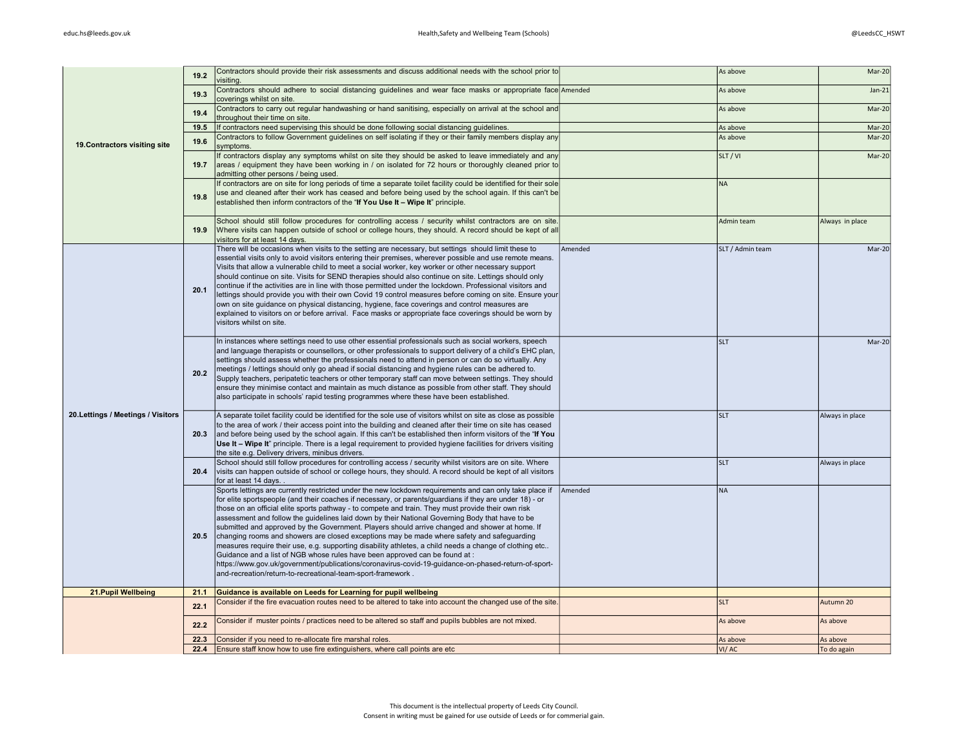|                                    | 19.2 | Contractors should provide their risk assessments and discuss additional needs with the school prior to<br>visiting.                                                                                                                                                                                                                                                                                                                                                                                                                                                                                                                                                                                                                                                                                                                                                                                                                                                                       |         | As above         | $Mar-20$        |
|------------------------------------|------|--------------------------------------------------------------------------------------------------------------------------------------------------------------------------------------------------------------------------------------------------------------------------------------------------------------------------------------------------------------------------------------------------------------------------------------------------------------------------------------------------------------------------------------------------------------------------------------------------------------------------------------------------------------------------------------------------------------------------------------------------------------------------------------------------------------------------------------------------------------------------------------------------------------------------------------------------------------------------------------------|---------|------------------|-----------------|
|                                    | 19.3 | Contractors should adhere to social distancing guidelines and wear face masks or appropriate face Amended<br>coverings whilst on site.                                                                                                                                                                                                                                                                                                                                                                                                                                                                                                                                                                                                                                                                                                                                                                                                                                                     |         | As above         | $Jan-21$        |
|                                    | 19.4 | Contractors to carry out regular handwashing or hand sanitising, especially on arrival at the school and<br>throughout their time on site.                                                                                                                                                                                                                                                                                                                                                                                                                                                                                                                                                                                                                                                                                                                                                                                                                                                 |         | As above         | $Mar-20$        |
|                                    | 19.5 | If contractors need supervising this should be done following social distancing guidelines.                                                                                                                                                                                                                                                                                                                                                                                                                                                                                                                                                                                                                                                                                                                                                                                                                                                                                                |         | As above         | $Mar-20$        |
| 19. Contractors visiting site      | 19.6 | Contractors to follow Government quidelines on self isolating if they or their family members display any<br>symptoms.                                                                                                                                                                                                                                                                                                                                                                                                                                                                                                                                                                                                                                                                                                                                                                                                                                                                     |         | As above         | $Mar-20$        |
|                                    | 19.7 | If contractors display any symptoms whilst on site they should be asked to leave immediately and any<br>areas / equipment they have been working in / on isolated for 72 hours or thoroughly cleaned prior to<br>admitting other persons / being used.                                                                                                                                                                                                                                                                                                                                                                                                                                                                                                                                                                                                                                                                                                                                     |         | SLT / VI         | $Mar-20$        |
|                                    | 19.8 | If contractors are on site for long periods of time a separate toilet facility could be identified for their sole<br>use and cleaned after their work has ceased and before being used by the school again. If this can't be<br>established then inform contractors of the "If You Use It - Wipe It" principle.                                                                                                                                                                                                                                                                                                                                                                                                                                                                                                                                                                                                                                                                            |         | <b>NA</b>        |                 |
|                                    | 19.9 | School should still follow procedures for controlling access / security whilst contractors are on site.<br>Where visits can happen outside of school or college hours, they should. A record should be kept of all<br>visitors for at least 14 days.                                                                                                                                                                                                                                                                                                                                                                                                                                                                                                                                                                                                                                                                                                                                       |         | Admin team       | Always in place |
|                                    | 20.1 | There will be occasions when visits to the setting are necessary, but settings should limit these to<br>essential visits only to avoid visitors entering their premises, wherever possible and use remote means.<br>Visits that allow a vulnerable child to meet a social worker, key worker or other necessary support<br>should continue on site. Visits for SEND therapies should also continue on site. Lettings should only<br>continue if the activities are in line with those permitted under the lockdown. Professional visitors and<br>lettings should provide you with their own Covid 19 control measures before coming on site. Ensure your<br>own on site guidance on physical distancing, hygiene, face coverings and control measures are<br>explained to visitors on or before arrival. Face masks or appropriate face coverings should be worn by<br>visitors whilst on site.                                                                                            | Amended | SLT / Admin team | $Mar-20$        |
|                                    | 20.2 | In instances where settings need to use other essential professionals such as social workers, speech<br>and language therapists or counsellors, or other professionals to support delivery of a child's EHC plan,<br>settings should assess whether the professionals need to attend in person or can do so virtually. Any<br>meetings / lettings should only go ahead if social distancing and hygiene rules can be adhered to.<br>Supply teachers, peripatetic teachers or other temporary staff can move between settings. They should<br>ensure they minimise contact and maintain as much distance as possible from other staff. They should<br>also participate in schools' rapid testing programmes where these have been established.                                                                                                                                                                                                                                              |         | <b>SLT</b>       | Mar-20          |
| 20. Lettings / Meetings / Visitors | 20.3 | A separate toilet facility could be identified for the sole use of visitors whilst on site as close as possible<br>to the area of work / their access point into the building and cleaned after their time on site has ceased<br>and before being used by the school again. If this can't be established then inform visitors of the "If You<br>Use It - Wipe It" principle. There is a legal requirement to provided hygiene facilities for drivers visiting<br>the site e.g. Delivery drivers, minibus drivers.                                                                                                                                                                                                                                                                                                                                                                                                                                                                          |         | <b>SLT</b>       | Always in place |
|                                    | 20.4 | School should still follow procedures for controlling access / security whilst visitors are on site. Where<br>visits can happen outside of school or college hours, they should. A record should be kept of all visitors<br>for at least 14 days.                                                                                                                                                                                                                                                                                                                                                                                                                                                                                                                                                                                                                                                                                                                                          |         | <b>SLT</b>       | Always in place |
|                                    | 20.5 | Sports lettings are currently restricted under the new lockdown requirements and can only take place if<br>for elite sportspeople (and their coaches if necessary, or parents/guardians if they are under 18) - or<br>those on an official elite sports pathway - to compete and train. They must provide their own risk<br>assessment and follow the guidelines laid down by their National Governing Body that have to be<br>submitted and approved by the Government. Players should arrive changed and shower at home. If<br>changing rooms and showers are closed exceptions may be made where safety and safeguarding<br>measures require their use, e.g. supporting disability athletes, a child needs a change of clothing etc<br>Guidance and a list of NGB whose rules have been approved can be found at:<br>https://www.gov.uk/government/publications/coronavirus-covid-19-guidance-on-phased-return-of-sport-<br>and-recreation/return-to-recreational-team-sport-framework. | Amended | <b>NA</b>        |                 |
| 21. Pupil Wellbeing                | 21.1 | Guidance is available on Leeds for Learning for pupil wellbeing                                                                                                                                                                                                                                                                                                                                                                                                                                                                                                                                                                                                                                                                                                                                                                                                                                                                                                                            |         |                  |                 |
|                                    | 22.1 | Consider if the fire evacuation routes need to be altered to take into account the changed use of the site.                                                                                                                                                                                                                                                                                                                                                                                                                                                                                                                                                                                                                                                                                                                                                                                                                                                                                |         | <b>SLT</b>       | Autumn 20       |
|                                    | 22.2 | Consider if muster points / practices need to be altered so staff and pupils bubbles are not mixed.                                                                                                                                                                                                                                                                                                                                                                                                                                                                                                                                                                                                                                                                                                                                                                                                                                                                                        |         | As above         | As above        |
|                                    | 22.3 | Consider if you need to re-allocate fire marshal roles.                                                                                                                                                                                                                                                                                                                                                                                                                                                                                                                                                                                                                                                                                                                                                                                                                                                                                                                                    |         | As above         | As above        |
|                                    | 22.4 | Ensure staff know how to use fire extinguishers, where call points are etc                                                                                                                                                                                                                                                                                                                                                                                                                                                                                                                                                                                                                                                                                                                                                                                                                                                                                                                 |         | VI/AC            | To do again     |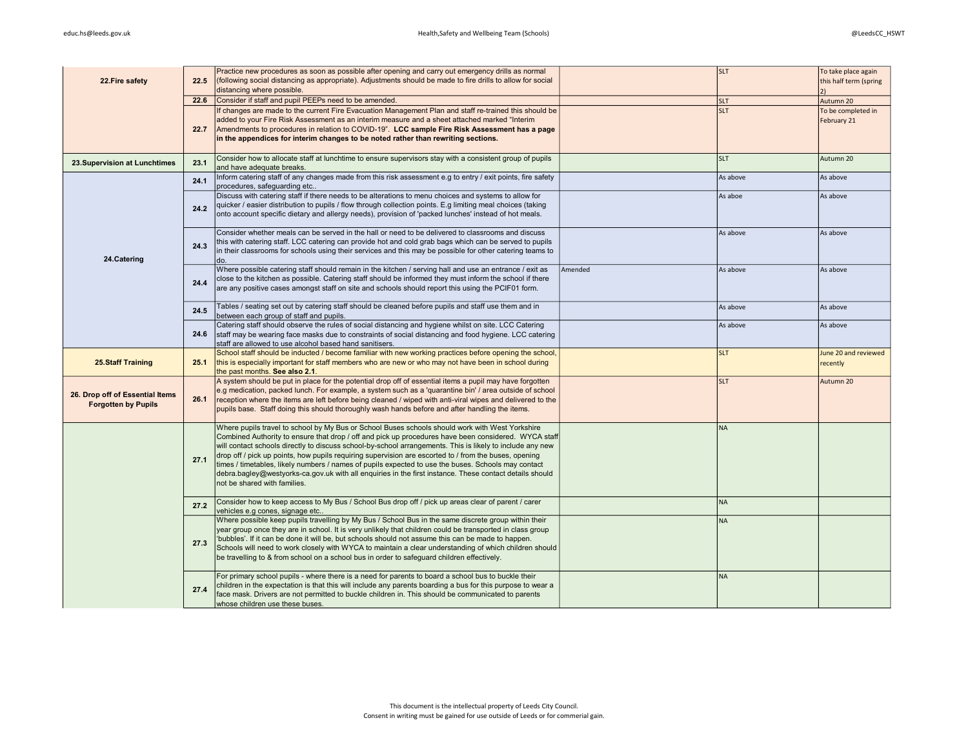| 22. Fire safety                                               | 22.5 | Practice new procedures as soon as possible after opening and carry out emergency drills as normal<br>(following social distancing as appropriate). Adjustments should be made to fire drills to allow for social<br>distancing where possible.                                                                                                                                                                                                                                                                                                                                                                                                                                 |         | <b>SLT</b> | To take place again<br>this half term (spring<br>2) |
|---------------------------------------------------------------|------|---------------------------------------------------------------------------------------------------------------------------------------------------------------------------------------------------------------------------------------------------------------------------------------------------------------------------------------------------------------------------------------------------------------------------------------------------------------------------------------------------------------------------------------------------------------------------------------------------------------------------------------------------------------------------------|---------|------------|-----------------------------------------------------|
|                                                               | 22.6 | Consider if staff and pupil PEEPs need to be amended.                                                                                                                                                                                                                                                                                                                                                                                                                                                                                                                                                                                                                           |         | <b>SLT</b> | Autumn 20                                           |
|                                                               | 22.7 | If changes are made to the current Fire Evacuation Management Plan and staff re-trained this should be<br>added to your Fire Risk Assessment as an interim measure and a sheet attached marked "Interim<br>Amendments to procedures in relation to COVID-19". LCC sample Fire Risk Assessment has a page<br>in the appendices for interim changes to be noted rather than rewriting sections.                                                                                                                                                                                                                                                                                   |         | <b>SLT</b> | To be completed in<br>February 21                   |
| 23. Supervision at Lunchtimes                                 | 23.1 | Consider how to allocate staff at lunchtime to ensure supervisors stay with a consistent group of pupils<br>and have adequate breaks.                                                                                                                                                                                                                                                                                                                                                                                                                                                                                                                                           |         | <b>SLT</b> | Autumn 20                                           |
|                                                               | 24.1 | Inform catering staff of any changes made from this risk assessment e.g to entry / exit points, fire safety<br>procedures, safeguarding etc                                                                                                                                                                                                                                                                                                                                                                                                                                                                                                                                     |         | As above   | As above                                            |
|                                                               | 24.2 | Discuss with catering staff if there needs to be alterations to menu choices and systems to allow for<br>quicker / easier distribution to pupils / flow through collection points. E.g limiting meal choices (taking<br>onto account specific dietary and allergy needs), provision of 'packed lunches' instead of hot meals.                                                                                                                                                                                                                                                                                                                                                   |         | As aboe    | As above                                            |
| 24.Catering                                                   | 24.3 | Consider whether meals can be served in the hall or need to be delivered to classrooms and discuss<br>this with catering staff. LCC catering can provide hot and cold grab bags which can be served to pupils<br>in their classrooms for schools using their services and this may be possible for other catering teams to<br>do.                                                                                                                                                                                                                                                                                                                                               |         | As above   | As above                                            |
|                                                               | 24.4 | Where possible catering staff should remain in the kitchen / serving hall and use an entrance / exit as<br>close to the kitchen as possible. Catering staff should be informed they must inform the school if there<br>are any positive cases amongst staff on site and schools should report this using the PCIF01 form.                                                                                                                                                                                                                                                                                                                                                       | Amended | As above   | As above                                            |
|                                                               | 24.5 | Tables / seating set out by catering staff should be cleaned before pupils and staff use them and in<br>between each group of staff and pupils.                                                                                                                                                                                                                                                                                                                                                                                                                                                                                                                                 |         | As above   | As above                                            |
|                                                               | 24.6 | Catering staff should observe the rules of social distancing and hygiene whilst on site. LCC Catering<br>staff may be wearing face masks due to constraints of social distancing and food hygiene. LCC catering<br>staff are allowed to use alcohol based hand sanitisers.                                                                                                                                                                                                                                                                                                                                                                                                      |         | As above   | As above                                            |
| <b>25.Staff Training</b>                                      | 25.1 | School staff should be inducted / become familiar with new working practices before opening the school,<br>this is especially important for staff members who are new or who may not have been in school during<br>the past months. See also 2.1.                                                                                                                                                                                                                                                                                                                                                                                                                               |         | <b>SLT</b> | June 20 and reviewed<br>recently                    |
| 26. Drop off of Essential Items<br><b>Forgotten by Pupils</b> | 26.1 | A system should be put in place for the potential drop off of essential items a pupil may have forgotten<br>e.g medication, packed lunch. For example, a system such as a 'quarantine bin' / area outside of school<br>reception where the items are left before being cleaned / wiped with anti-viral wipes and delivered to the<br>pupils base. Staff doing this should thoroughly wash hands before and after handling the items.                                                                                                                                                                                                                                            |         | <b>SLT</b> | Autumn 20                                           |
|                                                               | 27.1 | Where pupils travel to school by My Bus or School Buses schools should work with West Yorkshire<br>Combined Authority to ensure that drop / off and pick up procedures have been considered. WYCA staff<br>will contact schools directly to discuss school-by-school arrangements. This is likely to include any new<br>drop off / pick up points, how pupils requiring supervision are escorted to / from the buses, opening<br>times / timetables, likely numbers / names of pupils expected to use the buses. Schools may contact<br>debra.bagley@westyorks-ca.gov.uk with all enguiries in the first instance. These contact details should<br>not be shared with families. |         | <b>NA</b>  |                                                     |
|                                                               | 27.2 | Consider how to keep access to My Bus / School Bus drop off / pick up areas clear of parent / carer<br>vehicles e.g cones, signage etc                                                                                                                                                                                                                                                                                                                                                                                                                                                                                                                                          |         | <b>NA</b>  |                                                     |
|                                                               | 27.3 | Where possible keep pupils travelling by My Bus / School Bus in the same discrete group within their<br>year group once they are in school. It is very unlikely that children could be transported in class group<br>'bubbles'. If it can be done it will be, but schools should not assume this can be made to happen.<br>Schools will need to work closely with WYCA to maintain a clear understanding of which children should<br>be travelling to & from school on a school bus in order to safeguard children effectively.                                                                                                                                                 |         | <b>NA</b>  |                                                     |
|                                                               | 27.4 | For primary school pupils - where there is a need for parents to board a school bus to buckle their<br>children in the expectation is that this will include any parents boarding a bus for this purpose to wear a<br>face mask. Drivers are not permitted to buckle children in. This should be communicated to parents<br>whose children use these buses.                                                                                                                                                                                                                                                                                                                     |         | <b>NA</b>  |                                                     |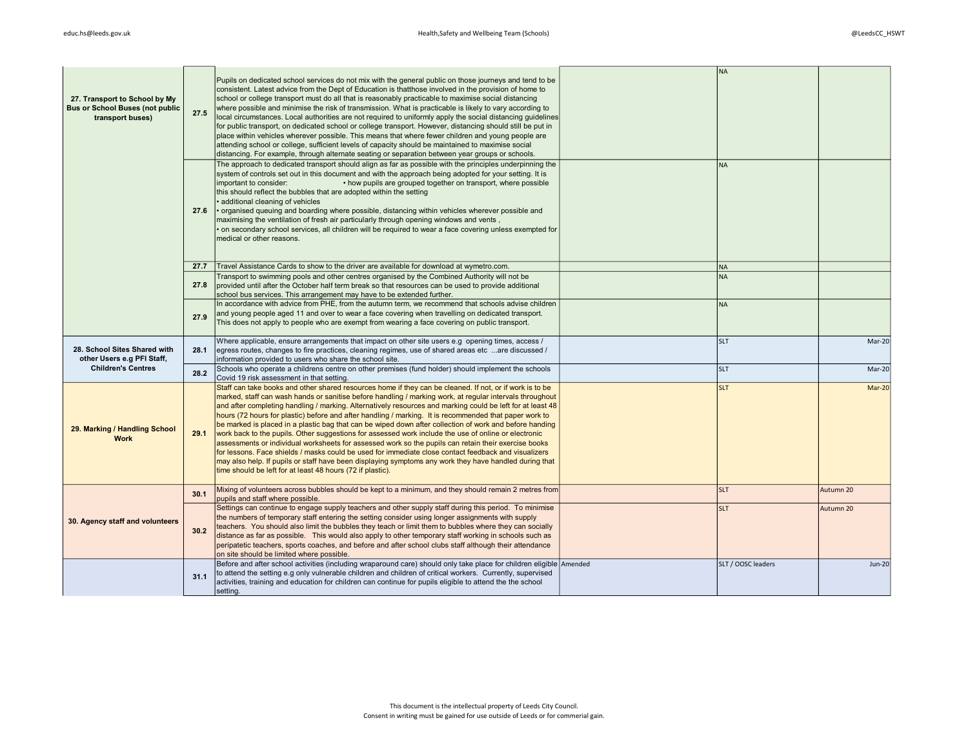| 27. Transport to School by My<br><b>Bus or School Buses (not public</b><br>transport buses) | 27.5 | Pupils on dedicated school services do not mix with the general public on those journeys and tend to be<br>consistent. Latest advice from the Dept of Education is thatthose involved in the provision of home to<br>school or college transport must do all that is reasonably practicable to maximise social distancing<br>where possible and minimise the risk of transmission. What is practicable is likely to vary according to<br>local circumstances. Local authorities are not required to uniformly apply the social distancing quidelines<br>for public transport, on dedicated school or college transport. However, distancing should still be put in<br>place within vehicles wherever possible. This means that where fewer children and young people are<br>attending school or college, sufficient levels of capacity should be maintained to maximise social<br>distancing. For example, through alternate seating or separation between year groups or schools.                                                                      | <b>NA</b>          |               |
|---------------------------------------------------------------------------------------------|------|---------------------------------------------------------------------------------------------------------------------------------------------------------------------------------------------------------------------------------------------------------------------------------------------------------------------------------------------------------------------------------------------------------------------------------------------------------------------------------------------------------------------------------------------------------------------------------------------------------------------------------------------------------------------------------------------------------------------------------------------------------------------------------------------------------------------------------------------------------------------------------------------------------------------------------------------------------------------------------------------------------------------------------------------------------|--------------------|---------------|
|                                                                                             | 27.6 | The approach to dedicated transport should align as far as possible with the principles underpinning the<br>system of controls set out in this document and with the approach being adopted for your setting. It is<br>important to consider:<br>• how pupils are grouped together on transport, where possible<br>this should reflect the bubbles that are adopted within the setting<br>· additional cleaning of vehicles<br>organised queuing and boarding where possible, distancing within vehicles wherever possible and<br>maximising the ventilation of fresh air particularly through opening windows and vents,<br>on secondary school services, all children will be required to wear a face covering unless exempted for<br>medical or other reasons.                                                                                                                                                                                                                                                                                       | <b>NA</b>          |               |
|                                                                                             | 27.7 | Travel Assistance Cards to show to the driver are available for download at wymetro.com.                                                                                                                                                                                                                                                                                                                                                                                                                                                                                                                                                                                                                                                                                                                                                                                                                                                                                                                                                                | <b>NA</b>          |               |
|                                                                                             | 27.8 | Transport to swimming pools and other centres organised by the Combined Authority will not be<br>provided until after the October half term break so that resources can be used to provide additional<br>school bus services. This arrangement may have to be extended further.                                                                                                                                                                                                                                                                                                                                                                                                                                                                                                                                                                                                                                                                                                                                                                         | <b>NA</b>          |               |
|                                                                                             | 27.9 | In accordance with advice from PHE, from the autumn term, we recommend that schools advise children<br>and young people aged 11 and over to wear a face covering when travelling on dedicated transport.<br>This does not apply to people who are exempt from wearing a face covering on public transport.                                                                                                                                                                                                                                                                                                                                                                                                                                                                                                                                                                                                                                                                                                                                              | <b>NA</b>          |               |
| 28. School Sites Shared with<br>other Users e.g PFI Staff,                                  | 28.1 | Where applicable, ensure arrangements that impact on other site users e.g opening times, access /<br>eqress routes, changes to fire practices, cleaning regimes, use of shared areas etc  are discussed /<br>information provided to users who share the school site.                                                                                                                                                                                                                                                                                                                                                                                                                                                                                                                                                                                                                                                                                                                                                                                   | <b>SLT</b>         | Mar-20        |
| <b>Children's Centres</b>                                                                   | 28.2 | Schools who operate a childrens centre on other premises (fund holder) should implement the schools<br>Covid 19 risk assessment in that setting.                                                                                                                                                                                                                                                                                                                                                                                                                                                                                                                                                                                                                                                                                                                                                                                                                                                                                                        | <b>SLT</b>         | Mar-20        |
| 29. Marking / Handling School<br><b>Work</b>                                                | 29.1 | Staff can take books and other shared resources home if they can be cleaned. If not, or if work is to be<br>marked, staff can wash hands or sanitise before handling / marking work, at regular intervals throughout<br>and after completing handling / marking. Alternatively resources and marking could be left for at least 48<br>hours (72 hours for plastic) before and after handling / marking. It is recommended that paper work to<br>be marked is placed in a plastic bag that can be wiped down after collection of work and before handing<br>work back to the pupils. Other suggestions for assessed work include the use of online or electronic<br>assessments or individual worksheets for assessed work so the pupils can retain their exercise books<br>for lessons. Face shields / masks could be used for immediate close contact feedback and visualizers<br>may also help. If pupils or staff have been displaying symptoms any work they have handled during that<br>time should be left for at least 48 hours (72 if plastic). | <b>SLT</b>         | Mar-20        |
|                                                                                             | 30.1 | Mixing of volunteers across bubbles should be kept to a minimum, and they should remain 2 metres from<br>pupils and staff where possible.                                                                                                                                                                                                                                                                                                                                                                                                                                                                                                                                                                                                                                                                                                                                                                                                                                                                                                               | <b>SLT</b>         | Autumn 20     |
| 30. Agency staff and volunteers                                                             | 30.2 | Settings can continue to engage supply teachers and other supply staff during this period. To minimise<br>the numbers of temporary staff entering the setting consider using longer assignments with supply<br>teachers. You should also limit the bubbles they teach or limit them to bubbles where they can socially<br>distance as far as possible. This would also apply to other temporary staff working in schools such as<br>peripatetic teachers, sports coaches, and before and after school clubs staff although their attendance<br>on site should be limited where possible.                                                                                                                                                                                                                                                                                                                                                                                                                                                                | <b>SLT</b>         | Autumn 20     |
|                                                                                             | 31.1 | Before and after school activities (including wraparound care) should only take place for children eligible Amended<br>to attend the setting e.g only vulnerable children and children of critical workers. Currently, supervised<br>activities, training and education for children can continue for pupils eligible to attend the the school<br>setting.                                                                                                                                                                                                                                                                                                                                                                                                                                                                                                                                                                                                                                                                                              | SLT / OOSC leaders | <b>Jun-20</b> |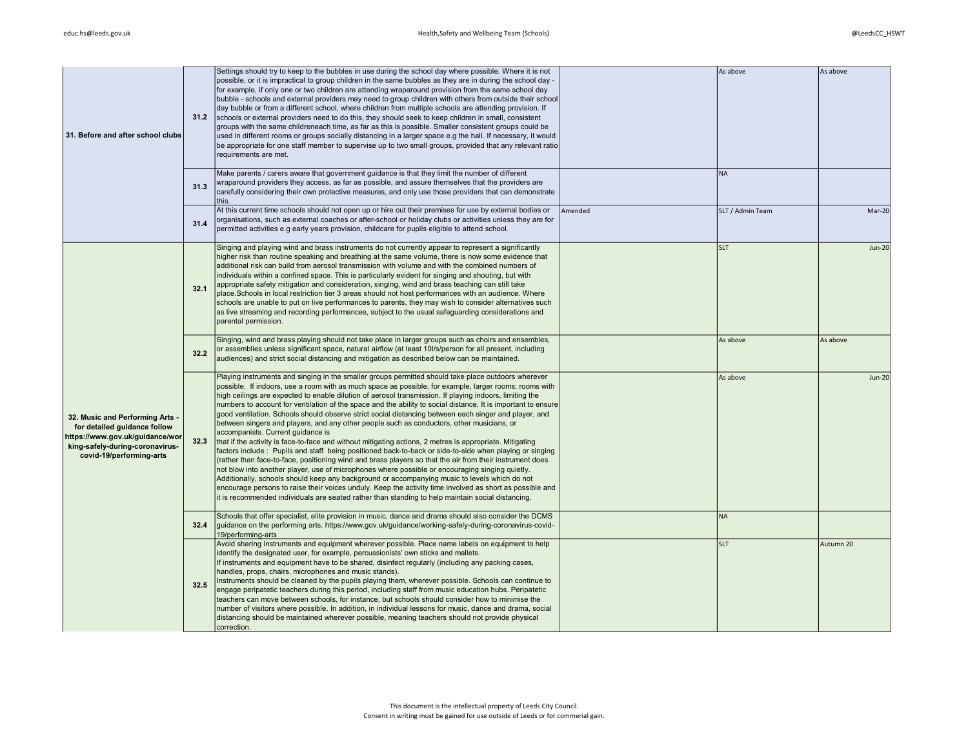| 31. Before and after school clubs                                                                                                                                 | 31.2         | Settings should try to keep to the bubbles in use during the school day where possible. Where it is not<br>possible, or it is impractical to group children in the same bubbles as they are in during the school day -<br>for example, if only one or two children are attending wraparound provision from the same school day<br>bubble - schools and external providers may need to group children with others from outside their school<br>day bubble or from a different school, where children from multiple schools are attending provision. If<br>schools or external providers need to do this, they should seek to keep children in small, consistent<br>groups with the same childreneach time, as far as this is possible. Smaller consistent groups could be<br>used in different rooms or groups socially distancing in a larger space e.g the hall. If necessary, it would<br>be appropriate for one staff member to supervise up to two small groups, provided that any relevant ratio<br>requirements are met.<br>Make parents / carers aware that government guidance is that they limit the number of different                                                                                                                                                                                                                                                                                                            |         | As above<br>NA   | As above  |
|-------------------------------------------------------------------------------------------------------------------------------------------------------------------|--------------|----------------------------------------------------------------------------------------------------------------------------------------------------------------------------------------------------------------------------------------------------------------------------------------------------------------------------------------------------------------------------------------------------------------------------------------------------------------------------------------------------------------------------------------------------------------------------------------------------------------------------------------------------------------------------------------------------------------------------------------------------------------------------------------------------------------------------------------------------------------------------------------------------------------------------------------------------------------------------------------------------------------------------------------------------------------------------------------------------------------------------------------------------------------------------------------------------------------------------------------------------------------------------------------------------------------------------------------------------------------------------------------------------------------------------------------------|---------|------------------|-----------|
|                                                                                                                                                                   | 31.3<br>31.4 | wraparound providers they access, as far as possible, and assure themselves that the providers are<br>carefully considering their own protective measures, and only use those providers that can demonstrate<br>this.<br>At this current time schools should not open up or hire out their premises for use by external bodies or<br>organisations, such as external coaches or after-school or holiday clubs or activities unless they are for<br>permitted activities e.g early years provision, childcare for pupils eligible to attend school.                                                                                                                                                                                                                                                                                                                                                                                                                                                                                                                                                                                                                                                                                                                                                                                                                                                                                           | Amended | SLT / Admin Team | Mar-20    |
| 32. Music and Performing Arts -<br>for detailed guidance follow<br>https://www.gov.uk/guidance/wor<br>king-safely-during-coronavirus-<br>covid-19/performing-arts | 32.1         | Singing and playing wind and brass instruments do not currently appear to represent a significantly<br>higher risk than routine speaking and breathing at the same volume, there is now some evidence that<br>additional risk can build from aerosol transmission with volume and with the combined numbers of<br>individuals within a confined space. This is particularly evident for singing and shouting, but with<br>appropriate safety mitigation and consideration, singing, wind and brass teaching can still take<br>place. Schools in local restriction tier 3 areas should not host performances with an audience. Where<br>schools are unable to put on live performances to parents, they may wish to consider alternatives such<br>as live streaming and recording performances, subject to the usual safeguarding considerations and<br>parental permission.                                                                                                                                                                                                                                                                                                                                                                                                                                                                                                                                                                  |         | <b>SLT</b>       | $Jun-20$  |
|                                                                                                                                                                   | 32.2         | Singing, wind and brass playing should not take place in larger groups such as choirs and ensembles,<br>or assemblies unless significant space, natural airflow (at least 10//s/person for all present, including<br>audiences) and strict social distancing and mitigation as described below can be maintained.                                                                                                                                                                                                                                                                                                                                                                                                                                                                                                                                                                                                                                                                                                                                                                                                                                                                                                                                                                                                                                                                                                                            |         | As above         | As above  |
|                                                                                                                                                                   | 32.3         | Playing instruments and singing in the smaller groups permitted should take place outdoors wherever<br>possible. If indoors, use a room with as much space as possible, for example, larger rooms; rooms with<br>high ceilings are expected to enable dilution of aerosol transmission. If playing indoors, limiting the<br>numbers to account for ventilation of the space and the ability to social distance. It is important to ensure<br>good ventilation. Schools should observe strict social distancing between each singer and player, and<br>between singers and players, and any other people such as conductors, other musicians, or<br>accompanists. Current guidance is<br>that if the activity is face-to-face and without mitigating actions, 2 metres is appropriate. Mitigating<br>factors include: Pupils and staff being positioned back-to-back or side-to-side when playing or singing<br>(rather than face-to-face, positioning wind and brass players so that the air from their instrument does<br>not blow into another player, use of microphones where possible or encouraging singing quietly.<br>Additionally, schools should keep any background or accompanying music to levels which do not<br>encourage persons to raise their voices unduly. Keep the activity time involved as short as possible and<br>it is recommended individuals are seated rather than standing to help maintain social distancing. |         | As above         | Jun-20    |
|                                                                                                                                                                   | 32.4         | Schools that offer specialist, elite provision in music, dance and drama should also consider the DCMS<br>guidance on the performing arts. https://www.gov.uk/guidance/working-safely-during-coronavirus-covid-<br>19/performing-arts                                                                                                                                                                                                                                                                                                                                                                                                                                                                                                                                                                                                                                                                                                                                                                                                                                                                                                                                                                                                                                                                                                                                                                                                        |         | NA               |           |
|                                                                                                                                                                   | 32.5         | Avoid sharing instruments and equipment wherever possible. Place name labels on equipment to help<br>identify the designated user, for example, percussionists' own sticks and mallets.<br>If instruments and equipment have to be shared, disinfect regularly (including any packing cases,<br>handles, props, chairs, microphones and music stands).<br>Instruments should be cleaned by the pupils playing them, wherever possible. Schools can continue to<br>engage peripatetic teachers during this period, including staff from music education hubs. Peripatetic<br>teachers can move between schools, for instance, but schools should consider how to minimise the<br>number of visitors where possible. In addition, in individual lessons for music, dance and drama, social<br>distancing should be maintained wherever possible, meaning teachers should not provide physical<br>correction.                                                                                                                                                                                                                                                                                                                                                                                                                                                                                                                                   |         | <b>SLT</b>       | Autumn 20 |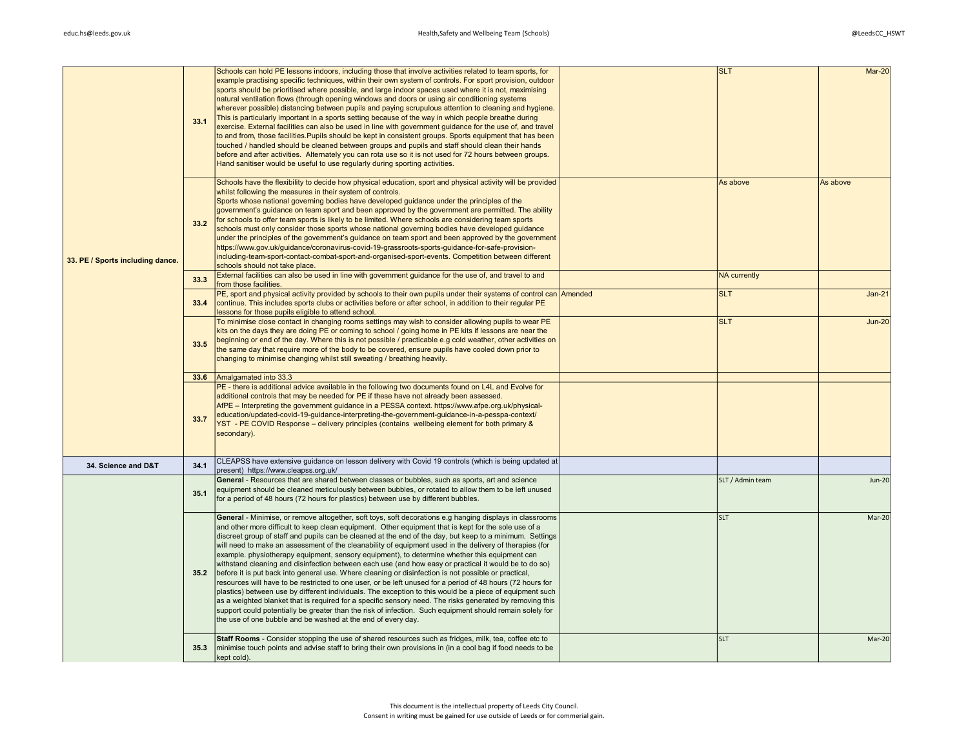| 33. PE / Sports including dance. | 33.1 | Schools can hold PE lessons indoors, including those that involve activities related to team sports, for<br>example practising specific techniques, within their own system of controls. For sport provision, outdoor<br>sports should be prioritised where possible, and large indoor spaces used where it is not, maximising<br>natural ventilation flows (through opening windows and doors or using air conditioning systems<br>wherever possible) distancing between pupils and paying scrupulous attention to cleaning and hygiene.<br>This is particularly important in a sports setting because of the way in which people breathe during<br>exercise. External facilities can also be used in line with government guidance for the use of, and travel<br>to and from, those facilities. Pupils should be kept in consistent groups. Sports equipment that has been<br>touched / handled should be cleaned between groups and pupils and staff should clean their hands<br>before and after activities. Alternately you can rota use so it is not used for 72 hours between groups.<br>Hand sanitiser would be useful to use regularly during sporting activities.                                                                                                 | <b>SLT</b>          | Mar-20        |
|----------------------------------|------|-----------------------------------------------------------------------------------------------------------------------------------------------------------------------------------------------------------------------------------------------------------------------------------------------------------------------------------------------------------------------------------------------------------------------------------------------------------------------------------------------------------------------------------------------------------------------------------------------------------------------------------------------------------------------------------------------------------------------------------------------------------------------------------------------------------------------------------------------------------------------------------------------------------------------------------------------------------------------------------------------------------------------------------------------------------------------------------------------------------------------------------------------------------------------------------------------------------------------------------------------------------------------------|---------------------|---------------|
|                                  | 33.2 | Schools have the flexibility to decide how physical education, sport and physical activity will be provided<br>whilst following the measures in their system of controls.<br>Sports whose national governing bodies have developed guidance under the principles of the<br>government's guidance on team sport and been approved by the government are permitted. The ability<br>for schools to offer team sports is likely to be limited. Where schools are considering team sports<br>schools must only consider those sports whose national governing bodies have developed guidance<br>under the principles of the government's guidance on team sport and been approved by the government<br>https://www.gov.uk/guidance/coronavirus-covid-19-grassroots-sports-guidance-for-safe-provision-<br>including-team-sport-contact-combat-sport-and-organised-sport-events. Competition between different<br>schools should not take place.                                                                                                                                                                                                                                                                                                                                  | As above            | As above      |
|                                  | 33.3 | External facilities can also be used in line with government guidance for the use of, and travel to and<br>from those facilities.                                                                                                                                                                                                                                                                                                                                                                                                                                                                                                                                                                                                                                                                                                                                                                                                                                                                                                                                                                                                                                                                                                                                           | <b>NA</b> currently |               |
|                                  | 33.4 | PE, sport and physical activity provided by schools to their own pupils under their systems of control can Amended<br>continue. This includes sports clubs or activities before or after school, in addition to their regular PE<br>lessons for those pupils eligible to attend school.                                                                                                                                                                                                                                                                                                                                                                                                                                                                                                                                                                                                                                                                                                                                                                                                                                                                                                                                                                                     | <b>SLT</b>          | $Jan-21$      |
|                                  | 33.5 | To minimise close contact in changing rooms settings may wish to consider allowing pupils to wear PE<br>kits on the days they are doing PE or coming to school / going home in PE kits if lessons are near the<br>beginning or end of the day. Where this is not possible / practicable e.g cold weather, other activities on<br>the same day that require more of the body to be covered, ensure pupils have cooled down prior to<br>changing to minimise changing whilst still sweating / breathing heavily.                                                                                                                                                                                                                                                                                                                                                                                                                                                                                                                                                                                                                                                                                                                                                              | <b>SLT</b>          | <b>Jun-20</b> |
|                                  | 33.6 | Amalgamated into 33.3                                                                                                                                                                                                                                                                                                                                                                                                                                                                                                                                                                                                                                                                                                                                                                                                                                                                                                                                                                                                                                                                                                                                                                                                                                                       |                     |               |
|                                  | 33.7 | PE - there is additional advice available in the following two documents found on L4L and Evolve for<br>additional controls that may be needed for PE if these have not already been assessed.<br>AfPE - Interpreting the government guidance in a PESSA context. https://www.afpe.org.uk/physical-<br>education/updated-covid-19-quidance-interpreting-the-government-quidance-in-a-pesspa-context/<br>YST - PE COVID Response - delivery principles (contains wellbeing element for both primary &<br>secondary).                                                                                                                                                                                                                                                                                                                                                                                                                                                                                                                                                                                                                                                                                                                                                         |                     |               |
| 34. Science and D&T              | 34.1 | CLEAPSS have extensive guidance on lesson delivery with Covid 19 controls (which is being updated at                                                                                                                                                                                                                                                                                                                                                                                                                                                                                                                                                                                                                                                                                                                                                                                                                                                                                                                                                                                                                                                                                                                                                                        |                     |               |
|                                  | 35.1 | present) https://www.cleapss.org.uk/<br>General - Resources that are shared between classes or bubbles, such as sports, art and science<br>equipment should be cleaned meticulously between bubbles, or rotated to allow them to be left unused<br>for a period of 48 hours (72 hours for plastics) between use by different bubbles.                                                                                                                                                                                                                                                                                                                                                                                                                                                                                                                                                                                                                                                                                                                                                                                                                                                                                                                                       | SLT / Admin team    | <b>Jun-20</b> |
|                                  | 35.2 | General - Minimise, or remove altogether, soft toys, soft decorations e.g hanging displays in classrooms<br>and other more difficult to keep clean equipment. Other equipment that is kept for the sole use of a<br>discreet group of staff and pupils can be cleaned at the end of the day, but keep to a minimum. Settings<br>will need to make an assessment of the cleanability of equipment used in the delivery of therapies (for<br>example. physiotherapy equipment, sensory equipment), to determine whether this equipment can<br>withstand cleaning and disinfection between each use (and how easy or practical it would be to do so)<br>before it is put back into general use. Where cleaning or disinfection is not possible or practical,<br>resources will have to be restricted to one user, or be left unused for a period of 48 hours (72 hours for<br>plastics) between use by different individuals. The exception to this would be a piece of equipment such<br>as a weighted blanket that is required for a specific sensory need. The risks generated by removing this<br>support could potentially be greater than the risk of infection. Such equipment should remain solely for<br>the use of one bubble and be washed at the end of every day. | <b>SLT</b>          | Mar-20        |
|                                  | 35.3 | Staff Rooms - Consider stopping the use of shared resources such as fridges, milk, tea, coffee etc to<br>minimise touch points and advise staff to bring their own provisions in (in a cool bag if food needs to be<br>kept cold).                                                                                                                                                                                                                                                                                                                                                                                                                                                                                                                                                                                                                                                                                                                                                                                                                                                                                                                                                                                                                                          | <b>SLT</b>          | Mar-20        |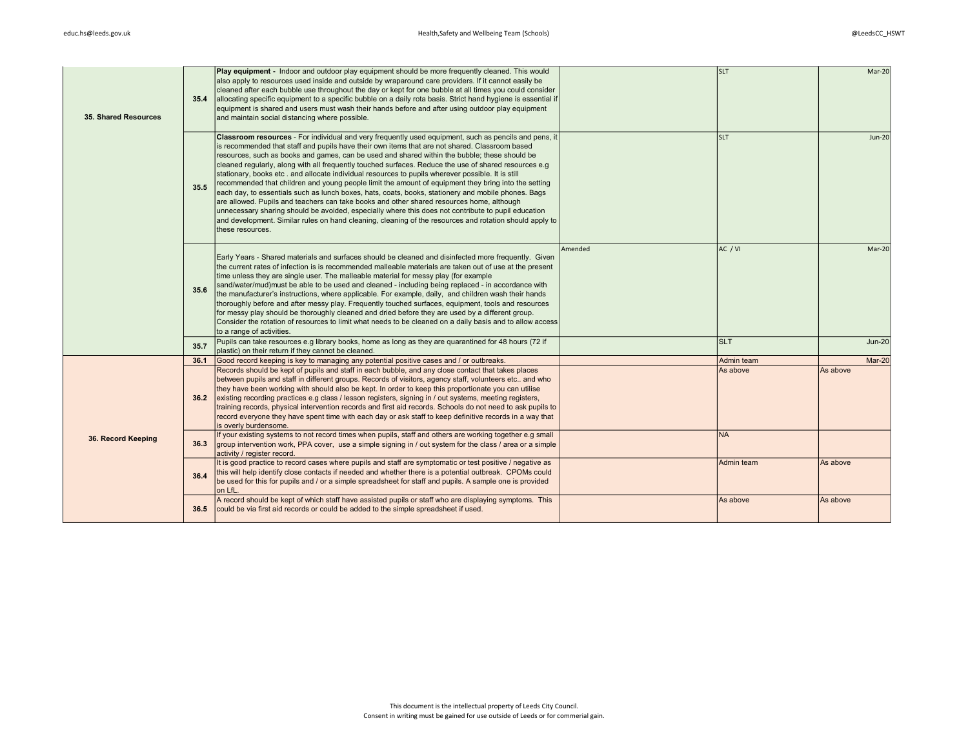| 35. Shared Resources | 35.4 | Play equipment - Indoor and outdoor play equipment should be more frequently cleaned. This would<br>also apply to resources used inside and outside by wraparound care providers. If it cannot easily be<br>cleaned after each bubble use throughout the day or kept for one bubble at all times you could consider<br>allocating specific equipment to a specific bubble on a daily rota basis. Strict hand hygiene is essential if<br>equipment is shared and users must wash their hands before and after using outdoor play equipment<br>and maintain social distancing where possible.                                                                                                                                                                                                                                                                                                                                                                                                                                                                              |         | <b>SLT</b> | Mar-20        |
|----------------------|------|--------------------------------------------------------------------------------------------------------------------------------------------------------------------------------------------------------------------------------------------------------------------------------------------------------------------------------------------------------------------------------------------------------------------------------------------------------------------------------------------------------------------------------------------------------------------------------------------------------------------------------------------------------------------------------------------------------------------------------------------------------------------------------------------------------------------------------------------------------------------------------------------------------------------------------------------------------------------------------------------------------------------------------------------------------------------------|---------|------------|---------------|
|                      | 35.5 | Classroom resources - For individual and very frequently used equipment, such as pencils and pens, it<br>is recommended that staff and pupils have their own items that are not shared. Classroom based<br>resources, such as books and games, can be used and shared within the bubble; these should be<br>cleaned regularly, along with all frequently touched surfaces. Reduce the use of shared resources e.g<br>stationary, books etc. and allocate individual resources to pupils wherever possible. It is still<br>recommended that children and young people limit the amount of equipment they bring into the setting<br>each day, to essentials such as lunch boxes, hats, coats, books, stationery and mobile phones. Bags<br>are allowed. Pupils and teachers can take books and other shared resources home, although<br>unnecessary sharing should be avoided, especially where this does not contribute to pupil education<br>and development. Similar rules on hand cleaning, cleaning of the resources and rotation should apply to<br>these resources. |         | <b>SLT</b> | <b>Jun-20</b> |
|                      | 35.6 | Early Years - Shared materials and surfaces should be cleaned and disinfected more frequently. Given<br>the current rates of infection is is recommended malleable materials are taken out of use at the present<br>time unless they are single user. The malleable material for messy play (for example<br>sand/water/mud)must be able to be used and cleaned - including being replaced - in accordance with<br>the manufacturer's instructions, where applicable. For example, daily, and children wash their hands<br>thoroughly before and after messy play. Frequently touched surfaces, equipment, tools and resources<br>for messy play should be thoroughly cleaned and dried before they are used by a different group.<br>Consider the rotation of resources to limit what needs to be cleaned on a daily basis and to allow access<br>to a range of activities.                                                                                                                                                                                              | Amended | AC / VI    | Mar-20        |
|                      | 35.7 | Pupils can take resources e.g library books, home as long as they are quarantined for 48 hours (72 if<br>plastic) on their return if they cannot be cleaned.                                                                                                                                                                                                                                                                                                                                                                                                                                                                                                                                                                                                                                                                                                                                                                                                                                                                                                             |         | <b>SLT</b> | <b>Jun-20</b> |
|                      | 36.1 | Good record keeping is key to managing any potential positive cases and / or outbreaks.                                                                                                                                                                                                                                                                                                                                                                                                                                                                                                                                                                                                                                                                                                                                                                                                                                                                                                                                                                                  |         | Admin team | Mar-20        |
|                      | 36.2 | Records should be kept of pupils and staff in each bubble, and any close contact that takes places<br>between pupils and staff in different groups. Records of visitors, agency staff, volunteers etc and who<br>they have been working with should also be kept. In order to keep this proportionate you can utilise<br>existing recording practices e.g class / lesson registers, signing in / out systems, meeting registers,<br>training records, physical intervention records and first aid records. Schools do not need to ask pupils to<br>record everyone they have spent time with each day or ask staff to keep definitive records in a way that<br>is overly burdensome.                                                                                                                                                                                                                                                                                                                                                                                     |         | As above   | As above      |
| 36. Record Keeping   | 36.3 | If your existing systems to not record times when pupils, staff and others are working together e.g small<br>$q$ aroup intervention work, PPA cover, use a simple signing in / out system for the class / area or a simple<br>activity / register record.                                                                                                                                                                                                                                                                                                                                                                                                                                                                                                                                                                                                                                                                                                                                                                                                                |         | <b>NA</b>  |               |
|                      | 36.4 | It is good practice to record cases where pupils and staff are symptomatic or test positive / negative as<br>this will help identify close contacts if needed and whether there is a potential outbreak. CPOMs could<br>be used for this for pupils and / or a simple spreadsheet for staff and pupils. A sample one is provided<br>on LfL                                                                                                                                                                                                                                                                                                                                                                                                                                                                                                                                                                                                                                                                                                                               |         | Admin team | As above      |
|                      | 36.5 | A record should be kept of which staff have assisted pupils or staff who are displaying symptoms. This<br>could be via first aid records or could be added to the simple spreadsheet if used.                                                                                                                                                                                                                                                                                                                                                                                                                                                                                                                                                                                                                                                                                                                                                                                                                                                                            |         | As above   | As above      |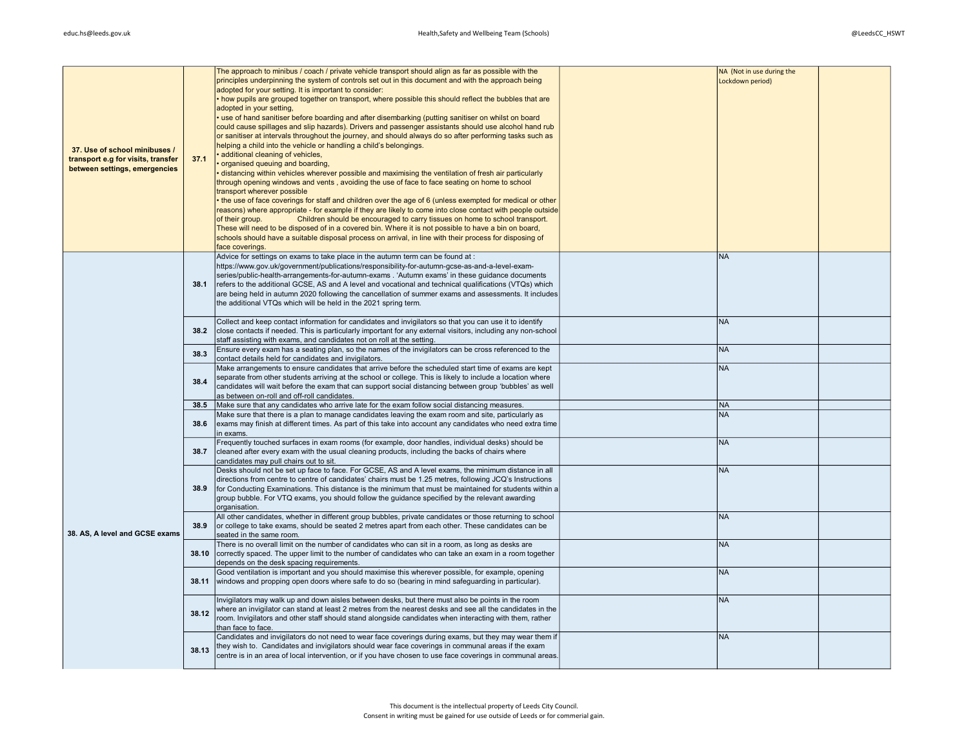|                                    |       | The approach to minibus / coach / private vehicle transport should align as far as possible with the         | NA (Not in use during the |  |
|------------------------------------|-------|--------------------------------------------------------------------------------------------------------------|---------------------------|--|
|                                    |       | principles underpinning the system of controls set out in this document and with the approach being          | Lockdown period)          |  |
|                                    |       | adopted for your setting. It is important to consider:                                                       |                           |  |
|                                    |       | . how pupils are grouped together on transport, where possible this should reflect the bubbles that are      |                           |  |
|                                    |       | adopted in your setting,                                                                                     |                           |  |
|                                    |       |                                                                                                              |                           |  |
|                                    |       | use of hand sanitiser before boarding and after disembarking (putting sanitiser on whilst on board           |                           |  |
|                                    |       | could cause spillages and slip hazards). Drivers and passenger assistants should use alcohol hand rub        |                           |  |
|                                    |       | or sanitiser at intervals throughout the journey, and should always do so after performing tasks such as     |                           |  |
|                                    |       | helping a child into the vehicle or handling a child's belongings.                                           |                           |  |
| 37. Use of school minibuses /      |       | additional cleaning of vehicles,                                                                             |                           |  |
| transport e.g for visits, transfer | 37.1  |                                                                                                              |                           |  |
| between settings, emergencies      |       | organised queuing and boarding,                                                                              |                           |  |
|                                    |       | distancing within vehicles wherever possible and maximising the ventilation of fresh air particularly        |                           |  |
|                                    |       | through opening windows and vents, avoiding the use of face to face seating on home to school                |                           |  |
|                                    |       | transport wherever possible                                                                                  |                           |  |
|                                    |       | the use of face coverings for staff and children over the age of 6 (unless exempted for medical or other     |                           |  |
|                                    |       |                                                                                                              |                           |  |
|                                    |       | reasons) where appropriate - for example if they are likely to come into close contact with people outside   |                           |  |
|                                    |       | Children should be encouraged to carry tissues on home to school transport.<br>of their group.               |                           |  |
|                                    |       | These will need to be disposed of in a covered bin. Where it is not possible to have a bin on board,         |                           |  |
|                                    |       | schools should have a suitable disposal process on arrival, in line with their process for disposing of      |                           |  |
|                                    |       | face coverings.                                                                                              |                           |  |
|                                    |       | Advice for settings on exams to take place in the autumn term can be found at :                              | <b>NA</b>                 |  |
|                                    |       |                                                                                                              |                           |  |
|                                    |       | https://www.gov.uk/government/publications/responsibility-for-autumn-gcse-as-and-a-level-exam-               |                           |  |
|                                    |       | series/public-health-arrangements-for-autumn-exams . 'Autumn exams' in these quidance documents              |                           |  |
|                                    | 38.1  | refers to the additional GCSE, AS and A level and vocational and technical qualifications (VTQs) which       |                           |  |
|                                    |       | are being held in autumn 2020 following the cancellation of summer exams and assessments. It includes        |                           |  |
|                                    |       | the additional VTQs which will be held in the 2021 spring term.                                              |                           |  |
|                                    |       |                                                                                                              |                           |  |
|                                    |       |                                                                                                              |                           |  |
|                                    |       | Collect and keep contact information for candidates and invigilators so that you can use it to identify      | <b>NA</b>                 |  |
|                                    | 38.2  | close contacts if needed. This is particularly important for any external visitors, including any non-school |                           |  |
|                                    |       | staff assisting with exams, and candidates not on roll at the setting.                                       |                           |  |
|                                    |       | Ensure every exam has a seating plan, so the names of the invigilators can be cross referenced to the        | <b>NA</b>                 |  |
|                                    | 38.3  | contact details held for candidates and invigilators.                                                        |                           |  |
|                                    |       |                                                                                                              | NA                        |  |
|                                    |       | Make arrangements to ensure candidates that arrive before the scheduled start time of exams are kept         |                           |  |
|                                    | 38.4  | separate from other students arriving at the school or college. This is likely to include a location where   |                           |  |
|                                    |       | candidates will wait before the exam that can support social distancing between group 'bubbles' as well      |                           |  |
|                                    |       | as between on-roll and off-roll candidates.                                                                  |                           |  |
|                                    | 38.5  | Make sure that any candidates who arrive late for the exam follow social distancing measures.                | <b>NA</b>                 |  |
|                                    |       | Make sure that there is a plan to manage candidates leaving the exam room and site, particularly as          | <b>NA</b>                 |  |
|                                    | 38.6  |                                                                                                              |                           |  |
|                                    |       | exams may finish at different times. As part of this take into account any candidates who need extra time    |                           |  |
|                                    |       | in exams.                                                                                                    |                           |  |
|                                    |       | Frequently touched surfaces in exam rooms (for example, door handles, individual desks) should be            | <b>NA</b>                 |  |
|                                    | 38.7  | cleaned after every exam with the usual cleaning products, including the backs of chairs where               |                           |  |
|                                    |       | candidates may pull chairs out to sit.                                                                       |                           |  |
|                                    |       | Desks should not be set up face to face. For GCSE, AS and A level exams, the minimum distance in all         | <b>NA</b>                 |  |
|                                    |       |                                                                                                              |                           |  |
|                                    |       | directions from centre to centre of candidates' chairs must be 1.25 metres, following JCQ's Instructions     |                           |  |
|                                    | 38.9  | for Conducting Examinations. This distance is the minimum that must be maintained for students within a      |                           |  |
|                                    |       | group bubble. For VTQ exams, you should follow the guidance specified by the relevant awarding               |                           |  |
|                                    |       | organisation.                                                                                                |                           |  |
|                                    |       | All other candidates, whether in different group bubbles, private candidates or those returning to school    | <b>NA</b>                 |  |
|                                    | 38.9  | or college to take exams, should be seated 2 metres apart from each other. These candidates can be           |                           |  |
| 38. AS. A level and GCSE exams     |       |                                                                                                              |                           |  |
|                                    |       | seated in the same room.                                                                                     |                           |  |
|                                    |       | There is no overall limit on the number of candidates who can sit in a room, as long as desks are            | <b>NA</b>                 |  |
|                                    | 38.10 | correctly spaced. The upper limit to the number of candidates who can take an exam in a room together        |                           |  |
|                                    |       | depends on the desk spacing requirements.                                                                    |                           |  |
|                                    |       | Good ventilation is important and you should maximise this wherever possible, for example, opening           | NA                        |  |
|                                    | 38.11 | windows and propping open doors where safe to do so (bearing in mind safequarding in particular).            |                           |  |
|                                    |       |                                                                                                              |                           |  |
|                                    |       |                                                                                                              |                           |  |
|                                    |       | Invigilators may walk up and down aisles between desks, but there must also be points in the room            | NA                        |  |
|                                    | 38.12 | where an invigilator can stand at least 2 metres from the nearest desks and see all the candidates in the    |                           |  |
|                                    |       | room. Invigilators and other staff should stand alongside candidates when interacting with them, rather      |                           |  |
|                                    |       | than face to face.                                                                                           |                           |  |
|                                    |       | Candidates and invigilators do not need to wear face coverings during exams, but they may wear them if       | <b>NA</b>                 |  |
|                                    |       | they wish to. Candidates and invigilators should wear face coverings in communal areas if the exam           |                           |  |
|                                    | 38.13 | centre is in an area of local intervention, or if you have chosen to use face coverings in communal areas.   |                           |  |
|                                    |       |                                                                                                              |                           |  |
|                                    |       |                                                                                                              |                           |  |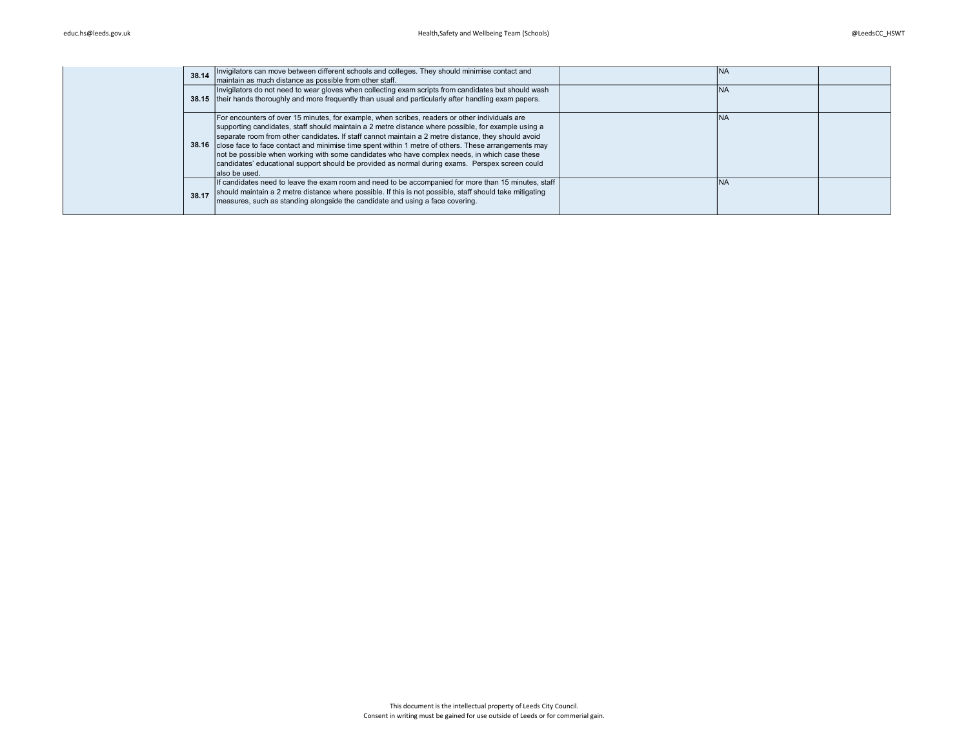| 38.14 | Invigilators can move between different schools and colleges. They should minimise contact and<br>maintain as much distance as possible from other staff.                                                                                                                                                                                                                                                                                                                                                                                                                                                                                       | <b>INA</b> |  |
|-------|-------------------------------------------------------------------------------------------------------------------------------------------------------------------------------------------------------------------------------------------------------------------------------------------------------------------------------------------------------------------------------------------------------------------------------------------------------------------------------------------------------------------------------------------------------------------------------------------------------------------------------------------------|------------|--|
|       | Invigilators do not need to wear gloves when collecting exam scripts from candidates but should wash<br>38.15 their hands thoroughly and more frequently than usual and particularly after handling exam papers.                                                                                                                                                                                                                                                                                                                                                                                                                                | <b>INA</b> |  |
|       | For encounters of over 15 minutes, for example, when scribes, readers or other individuals are<br>supporting candidates, staff should maintain a 2 metre distance where possible, for example using a<br>separate room from other candidates. If staff cannot maintain a 2 metre distance, they should avoid<br>38.16 close face to face contact and minimise time spent within 1 metre of others. These arrangements may<br>not be possible when working with some candidates who have complex needs, in which case these<br>candidates' educational support should be provided as normal during exams. Perspex screen could<br>lalso be used. | <b>INA</b> |  |
| 38.17 | If candidates need to leave the exam room and need to be accompanied for more than 15 minutes, staff<br>should maintain a 2 metre distance where possible. If this is not possible, staff should take mitigating<br>measures, such as standing alongside the candidate and using a face covering.                                                                                                                                                                                                                                                                                                                                               | <b>INA</b> |  |